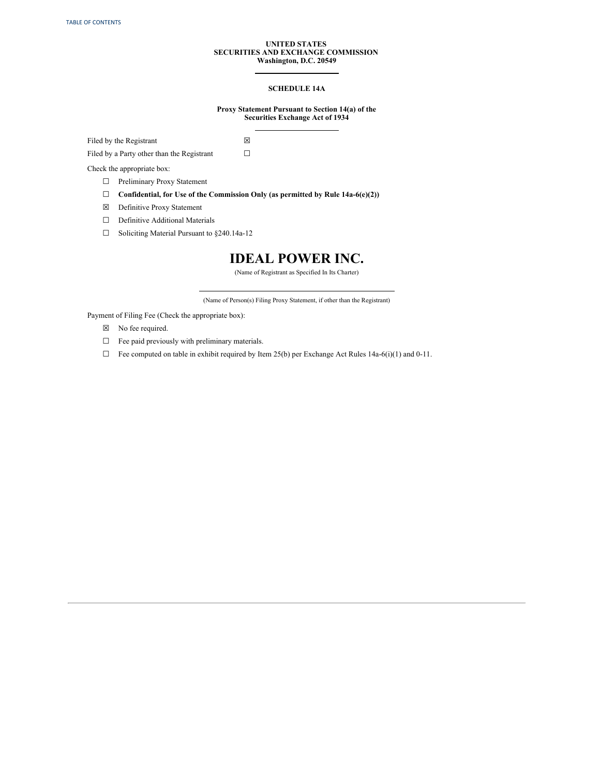# **UNITED STATES SECURITIES AND EXCHANGE COMMISSION Washington, D.C. 20549**

# **SCHEDULE 14A**

# **Proxy Statement Pursuant to Section 14(a) of the Securities Exchange Act of 1934**

Filed by the Registrant

Filed by a Party other than the Registrant

Check the appropriate box:

- □ Preliminary Proxy Statement
- ☐ **Confidential, for Use of the Commission Only (as permitted by Rule 14a-6(e)(2))**

 $\boxtimes$ ☐

- ☒ Definitive Proxy Statement
- □ Definitive Additional Materials
- ☐ Soliciting Material Pursuant to §240.14a-12

# **IDEAL POWER INC.**

(Name of Registrant as Specified In Its Charter)

(Name of Person(s) Filing Proxy Statement, if other than the Registrant)

Payment of Filing Fee (Check the appropriate box):

- ☒ No fee required.
- □ Fee paid previously with preliminary materials.
- $\Box$  Fee computed on table in exhibit required by Item 25(b) per Exchange Act Rules 14a-6(i)(1) and 0-11.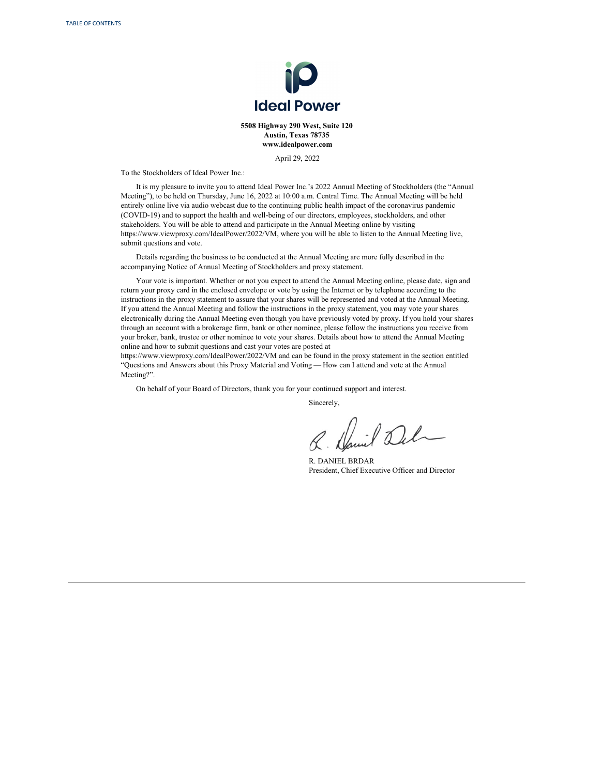

**5508 Highway 290 West, Suite 120 Austin, Texas 78735 www.idealpower.com**

April 29, 2022

To the Stockholders of Ideal Power Inc.:

It is my pleasure to invite you to attend Ideal Power Inc.'s 2022 Annual Meeting of Stockholders (the "Annual Meeting"), to be held on Thursday, June 16, 2022 at 10:00 a.m. Central Time. The Annual Meeting will be held entirely online live via audio webcast due to the continuing public health impact of the coronavirus pandemic (COVID-19) and to support the health and well-being of our directors, employees, stockholders, and other stakeholders. You will be able to attend and participate in the Annual Meeting online by visiting https://www.viewproxy.com/IdealPower/2022/VM, where you will be able to listen to the Annual Meeting live, submit questions and vote.

Details regarding the business to be conducted at the Annual Meeting are more fully described in the accompanying Notice of Annual Meeting of Stockholders and proxy statement.

Your vote is important. Whether or not you expect to attend the Annual Meeting online, please date, sign and return your proxy card in the enclosed envelope or vote by using the Internet or by telephone according to the instructions in the proxy statement to assure that your shares will be represented and voted at the Annual Meeting. If you attend the Annual Meeting and follow the instructions in the proxy statement, you may vote your shares electronically during the Annual Meeting even though you have previously voted by proxy. If you hold your shares through an account with a brokerage firm, bank or other nominee, please follow the instructions you receive from your broker, bank, trustee or other nominee to vote your shares. Details about how to attend the Annual Meeting online and how to submit questions and cast your votes are posted at

https://www.viewproxy.com/IdealPower/2022/VM and can be found in the proxy statement in the section entitled "Questions and Answers about this Proxy Material and Voting — How can I attend and vote at the Annual Meeting?".

On behalf of your Board of Directors, thank you for your continued support and interest.

Sincerely,

Daniel 2

R. DANIEL BRDAR President, Chief Executive Officer and Director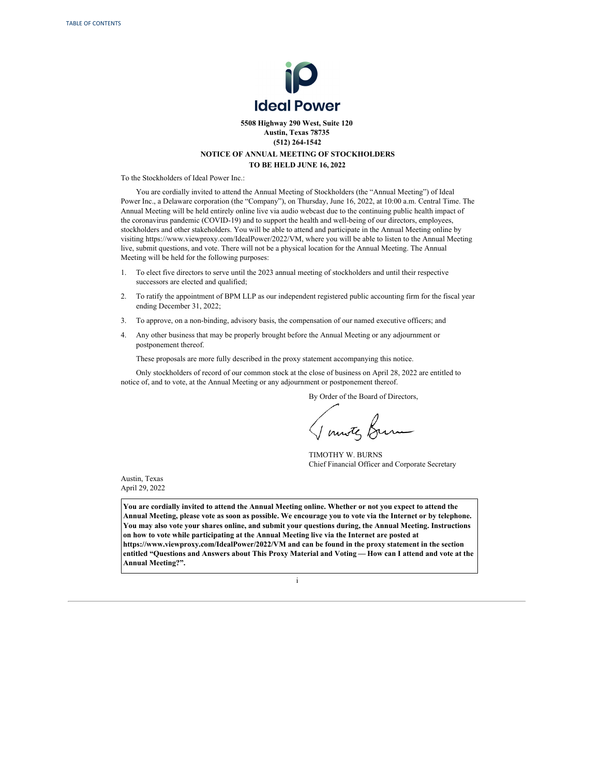

# **5508 Highway 290 West, Suite 120 Austin, Texas 78735 (512) 264-1542 NOTICE OF ANNUAL MEETING OF STOCKHOLDERS TO BE HELD JUNE 16, 2022**

To the Stockholders of Ideal Power Inc.:

You are cordially invited to attend the Annual Meeting of Stockholders (the "Annual Meeting") of Ideal Power Inc., a Delaware corporation (the "Company"), on Thursday, June 16, 2022, at 10:00 a.m. Central Time. The Annual Meeting will be held entirely online live via audio webcast due to the continuing public health impact of the coronavirus pandemic (COVID-19) and to support the health and well-being of our directors, employees, stockholders and other stakeholders. You will be able to attend and participate in the Annual Meeting online by visiting https://www.viewproxy.com/IdealPower/2022/VM, where you will be able to listen to the Annual Meeting live, submit questions, and vote. There will not be a physical location for the Annual Meeting. The Annual Meeting will be held for the following purposes:

- 1. To elect five directors to serve until the 2023 annual meeting of stockholders and until their respective successors are elected and qualified;
- 2. To ratify the appointment of BPM LLP as our independent registered public accounting firm for the fiscal year ending December 31, 2022;
- 3. To approve, on a non-binding, advisory basis, the compensation of our named executive officers; and
- 4. Any other business that may be properly brought before the Annual Meeting or any adjournment or postponement thereof.

These proposals are more fully described in the proxy statement accompanying this notice.

Only stockholders of record of our common stock at the close of business on April 28, 2022 are entitled to notice of, and to vote, at the Annual Meeting or any adjournment or postponement thereof.

By Order of the Board of Directors,

TIMOTHY W. BURNS Chief Financial Officer and Corporate Secretary

Austin, Texas April 29, 2022

You are cordially invited to attend the Annual Meeting online. Whether or not you expect to attend the Annual Meeting, please vote as soon as possible. We encourage you to vote via the Internet or by telephone. **You may also vote your shares online, and submit your questions during, the Annual Meeting. Instructions on how to vote while participating at the Annual Meeting live via the Internet are posted at https://www.viewproxy.com/IdealPower/2022/VM and can be found in the proxy statement in the section** entitled "Questions and Answers about This Proxy Material and Voting - How can I attend and vote at the **Annual Meeting?".**

i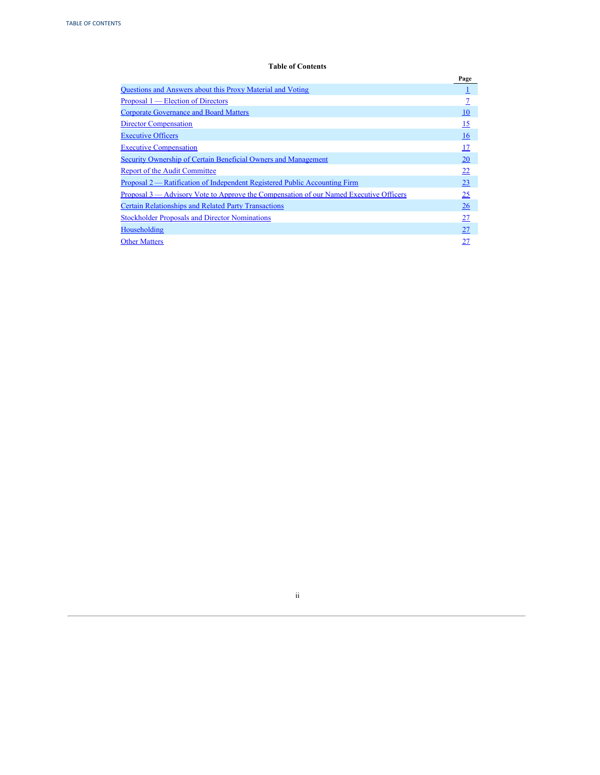# **Table of Contents**

<span id="page-3-0"></span>

|                                                                                             | Page |
|---------------------------------------------------------------------------------------------|------|
| <b>Ouestions and Answers about this Proxy Material and Voting</b>                           |      |
| Proposal 1 — Election of Directors                                                          |      |
| <b>Corporate Governance and Board Matters</b>                                               | 10   |
| <b>Director Compensation</b>                                                                | 15   |
| <b>Executive Officers</b>                                                                   | 16   |
| <b>Executive Compensation</b>                                                               | 17   |
| <b>Security Ownership of Certain Beneficial Owners and Management</b>                       | 20   |
| <b>Report of the Audit Committee</b>                                                        | 22   |
| Proposal 2 — Ratification of Independent Registered Public Accounting Firm                  | 23   |
| <u>Proposal 3—Advisory Vote to Approve the Compensation of our Named Executive Officers</u> | 25   |
| <b>Certain Relationships and Related Party Transactions</b>                                 | 26   |
| <b>Stockholder Proposals and Director Nominations</b>                                       | 27   |
| Householding                                                                                | 27   |
| <b>Other Matters</b>                                                                        | 27   |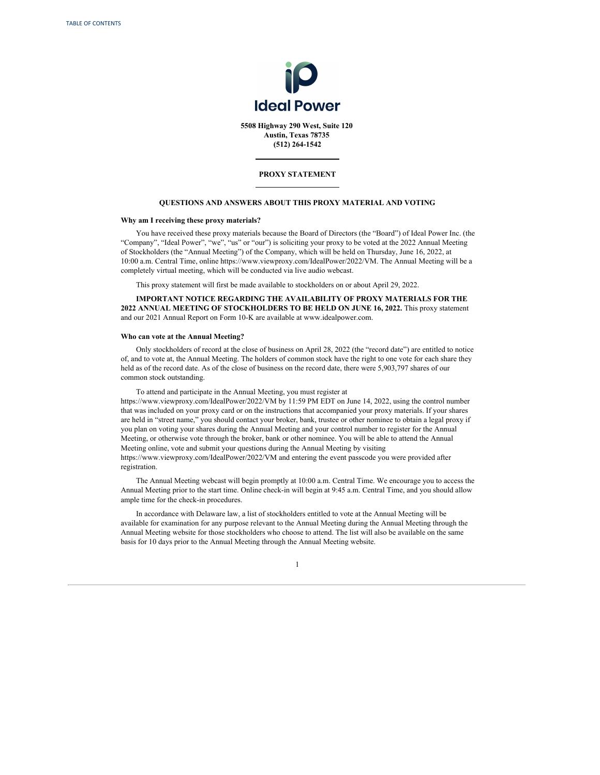<span id="page-4-0"></span>

**5508 Highway 290 West, Suite 120 Austin, Texas 78735 (512) 264-1542**

# **PROXY STATEMENT**

## **QUESTIONS AND ANSWERS ABOUT THIS PROXY MATERIAL AND VOTING**

## **Why am I receiving these proxy materials?**

You have received these proxy materials because the Board of Directors (the "Board") of Ideal Power Inc. (the "Company", "Ideal Power", "we", "us" or "our") is soliciting your proxy to be voted at the 2022 Annual Meeting of Stockholders (the "Annual Meeting") of the Company, which will be held on Thursday, June 16, 2022, at 10:00 a.m. Central Time, online https://www.viewproxy.com/IdealPower/2022/VM. The Annual Meeting will be a completely virtual meeting, which will be conducted via live audio webcast.

This proxy statement will first be made available to stockholders on or about April 29, 2022.

**IMPORTANT NOTICE REGARDING THE AVAILABILITY OF PROXY MATERIALS FOR THE 2022 ANNUAL MEETING OF STOCKHOLDERS TO BE HELD ON JUNE 16, 2022.** This proxy statement and our 2021 Annual Report on Form 10-K are available at www.idealpower.com.

# **Who can vote at the Annual Meeting?**

Only stockholders of record at the close of business on April 28, 2022 (the "record date") are entitled to notice of, and to vote at, the Annual Meeting. The holders of common stock have the right to one vote for each share they held as of the record date. As of the close of business on the record date, there were 5,903,797 shares of our common stock outstanding.

To attend and participate in the Annual Meeting, you must register at https://www.viewproxy.com/IdealPower/2022/VM by 11:59 PM EDT on June 14, 2022, using the control number that was included on your proxy card or on the instructions that accompanied your proxy materials. If your shares are held in "street name," you should contact your broker, bank, trustee or other nominee to obtain a legal proxy if you plan on voting your shares during the Annual Meeting and your control number to register for the Annual Meeting, or otherwise vote through the broker, bank or other nominee. You will be able to attend the Annual Meeting online, vote and submit your questions during the Annual Meeting by visiting https://www.viewproxy.com/IdealPower/2022/VM and entering the event passcode you were provided after registration.

The Annual Meeting webcast will begin promptly at 10:00 a.m. Central Time. We encourage you to access the Annual Meeting prior to the start time. Online check-in will begin at 9:45 a.m. Central Time, and you should allow ample time for the check-in procedures.

In accordance with Delaware law, a list of stockholders entitled to vote at the Annual Meeting will be available for examination for any purpose relevant to the Annual Meeting during the Annual Meeting through the Annual Meeting website for those stockholders who choose to attend. The list will also be available on the same basis for 10 days prior to the Annual Meeting through the Annual Meeting website.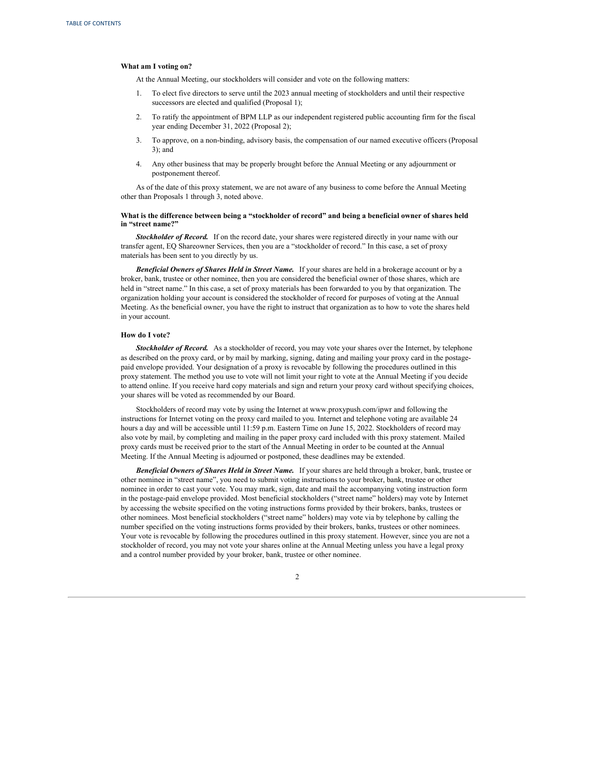### **What am I voting on?**

At the Annual Meeting, our stockholders will consider and vote on the following matters:

- 1. To elect five directors to serve until the 2023 annual meeting of stockholders and until their respective successors are elected and qualified (Proposal 1);
- 2. To ratify the appointment of BPM LLP as our independent registered public accounting firm for the fiscal year ending December 31, 2022 (Proposal 2);
- 3. To approve, on a non-binding, advisory basis, the compensation of our named executive officers (Proposal 3); and
- 4. Any other business that may be properly brought before the Annual Meeting or any adjournment or postponement thereof.

As of the date of this proxy statement, we are not aware of any business to come before the Annual Meeting other than Proposals 1 through 3, noted above.

# What is the difference between being a "stockholder of record" and being a beneficial owner of shares held **in "street name?"**

*Stockholder of Record.* If on the record date, your shares were registered directly in your name with our transfer agent, EQ Shareowner Services, then you are a "stockholder of record." In this case, a set of proxy materials has been sent to you directly by us.

*Beneficial Owners of Shares Held in Street Name.* If your shares are held in a brokerage account or by a broker, bank, trustee or other nominee, then you are considered the beneficial owner of those shares, which are held in "street name." In this case, a set of proxy materials has been forwarded to you by that organization. The organization holding your account is considered the stockholder of record for purposes of voting at the Annual Meeting. As the beneficial owner, you have the right to instruct that organization as to how to vote the shares held in your account.

### **How do I vote?**

*Stockholder of Record.* As a stockholder of record, you may vote your shares over the Internet, by telephone as described on the proxy card, or by mail by marking, signing, dating and mailing your proxy card in the postagepaid envelope provided. Your designation of a proxy is revocable by following the procedures outlined in this proxy statement. The method you use to vote will not limit your right to vote at the Annual Meeting if you decide to attend online. If you receive hard copy materials and sign and return your proxy card without specifying choices, your shares will be voted as recommended by our Board.

Stockholders of record may vote by using the Internet at www.proxypush.com/ipwr and following the instructions for Internet voting on the proxy card mailed to you. Internet and telephone voting are available 24 hours a day and will be accessible until 11:59 p.m. Eastern Time on June 15, 2022. Stockholders of record may also vote by mail, by completing and mailing in the paper proxy card included with this proxy statement. Mailed proxy cards must be received prior to the start of the Annual Meeting in order to be counted at the Annual Meeting. If the Annual Meeting is adjourned or postponed, these deadlines may be extended.

*Beneficial Owners of Shares Held in Street Name.* If your shares are held through a broker, bank, trustee or other nominee in "street name", you need to submit voting instructions to your broker, bank, trustee or other nominee in order to cast your vote. You may mark, sign, date and mail the accompanying voting instruction form in the postage-paid envelope provided. Most beneficial stockholders ("street name" holders) may vote by Internet by accessing the website specified on the voting instructions forms provided by their brokers, banks, trustees or other nominees. Most beneficial stockholders ("street name" holders) may vote via by telephone by calling the number specified on the voting instructions forms provided by their brokers, banks, trustees or other nominees. Your vote is revocable by following the procedures outlined in this proxy statement. However, since you are not a stockholder of record, you may not vote your shares online at the Annual Meeting unless you have a legal proxy and a control number provided by your broker, bank, trustee or other nominee.

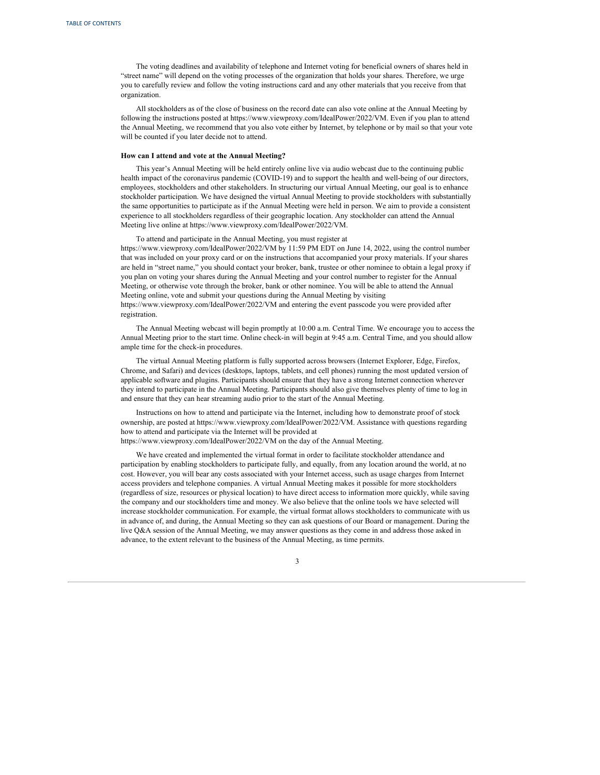The voting deadlines and availability of telephone and Internet voting for beneficial owners of shares held in "street name" will depend on the voting processes of the organization that holds your shares. Therefore, we urge you to carefully review and follow the voting instructions card and any other materials that you receive from that organization.

All stockholders as of the close of business on the record date can also vote online at the Annual Meeting by following the instructions posted at https://www.viewproxy.com/IdealPower/2022/VM. Even if you plan to attend the Annual Meeting, we recommend that you also vote either by Internet, by telephone or by mail so that your vote will be counted if you later decide not to attend.

#### **How can I attend and vote at the Annual Meeting?**

This year's Annual Meeting will be held entirely online live via audio webcast due to the continuing public health impact of the coronavirus pandemic (COVID-19) and to support the health and well-being of our directors, employees, stockholders and other stakeholders. In structuring our virtual Annual Meeting, our goal is to enhance stockholder participation. We have designed the virtual Annual Meeting to provide stockholders with substantially the same opportunities to participate as if the Annual Meeting were held in person. We aim to provide a consistent experience to all stockholders regardless of their geographic location. Any stockholder can attend the Annual Meeting live online at https://www.viewproxy.com/IdealPower/2022/VM.

To attend and participate in the Annual Meeting, you must register at https://www.viewproxy.com/IdealPower/2022/VM by 11:59 PM EDT on June 14, 2022, using the control number that was included on your proxy card or on the instructions that accompanied your proxy materials. If your shares are held in "street name," you should contact your broker, bank, trustee or other nominee to obtain a legal proxy if you plan on voting your shares during the Annual Meeting and your control number to register for the Annual Meeting, or otherwise vote through the broker, bank or other nominee. You will be able to attend the Annual Meeting online, vote and submit your questions during the Annual Meeting by visiting https://www.viewproxy.com/IdealPower/2022/VM and entering the event passcode you were provided after registration.

The Annual Meeting webcast will begin promptly at 10:00 a.m. Central Time. We encourage you to access the Annual Meeting prior to the start time. Online check-in will begin at 9:45 a.m. Central Time, and you should allow ample time for the check-in procedures.

The virtual Annual Meeting platform is fully supported across browsers (Internet Explorer, Edge, Firefox, Chrome, and Safari) and devices (desktops, laptops, tablets, and cell phones) running the most updated version of applicable software and plugins. Participants should ensure that they have a strong Internet connection wherever they intend to participate in the Annual Meeting. Participants should also give themselves plenty of time to log in and ensure that they can hear streaming audio prior to the start of the Annual Meeting.

Instructions on how to attend and participate via the Internet, including how to demonstrate proof of stock ownership, are posted at https://www.viewproxy.com/IdealPower/2022/VM. Assistance with questions regarding how to attend and participate via the Internet will be provided at https://www.viewproxy.com/IdealPower/2022/VM on the day of the Annual Meeting.

We have created and implemented the virtual format in order to facilitate stockholder attendance and participation by enabling stockholders to participate fully, and equally, from any location around the world, at no cost. However, you will bear any costs associated with your Internet access, such as usage charges from Internet access providers and telephone companies. A virtual Annual Meeting makes it possible for more stockholders (regardless of size, resources or physical location) to have direct access to information more quickly, while saving the company and our stockholders time and money. We also believe that the online tools we have selected will increase stockholder communication. For example, the virtual format allows stockholders to communicate with us in advance of, and during, the Annual Meeting so they can ask questions of our Board or management. During the live Q&A session of the Annual Meeting, we may answer questions as they come in and address those asked in advance, to the extent relevant to the business of the Annual Meeting, as time permits.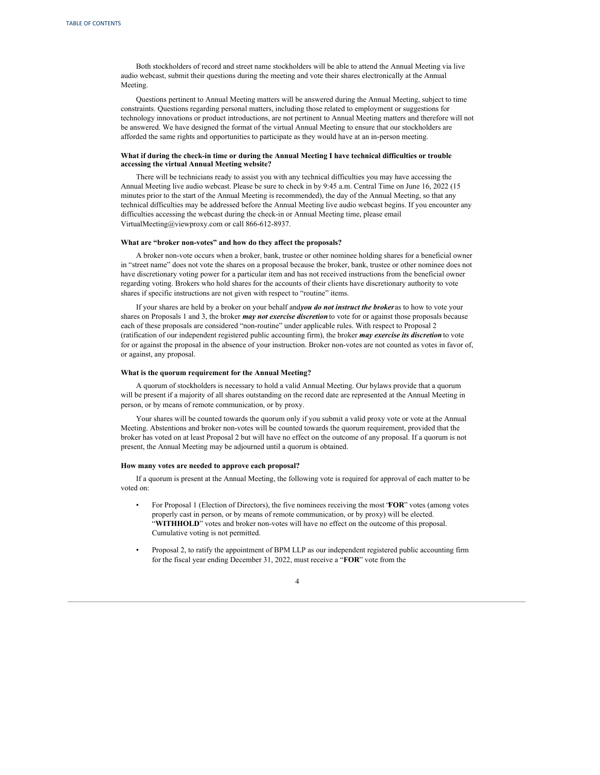Both stockholders of record and street name stockholders will be able to attend the Annual Meeting via live audio webcast, submit their questions during the meeting and vote their shares electronically at the Annual Meeting.

Questions pertinent to Annual Meeting matters will be answered during the Annual Meeting, subject to time constraints. Questions regarding personal matters, including those related to employment or suggestions for technology innovations or product introductions, are not pertinent to Annual Meeting matters and therefore will not be answered. We have designed the format of the virtual Annual Meeting to ensure that our stockholders are afforded the same rights and opportunities to participate as they would have at an in-person meeting.

# **What if during the check-in time or during the Annual Meeting I have technical difficulties or trouble accessing the virtual Annual Meeting website?**

There will be technicians ready to assist you with any technical difficulties you may have accessing the Annual Meeting live audio webcast. Please be sure to check in by 9:45 a.m. Central Time on June 16, 2022 (15 minutes prior to the start of the Annual Meeting is recommended), the day of the Annual Meeting, so that any technical difficulties may be addressed before the Annual Meeting live audio webcast begins. If you encounter any difficulties accessing the webcast during the check-in or Annual Meeting time, please email VirtualMeeting@viewproxy.com or call 866-612-8937.

#### **What are "broker non-votes" and how do they affect the proposals?**

A broker non-vote occurs when a broker, bank, trustee or other nominee holding shares for a beneficial owner in "street name" does not vote the shares on a proposal because the broker, bank, trustee or other nominee does not have discretionary voting power for a particular item and has not received instructions from the beneficial owner regarding voting. Brokers who hold shares for the accounts of their clients have discretionary authority to vote shares if specific instructions are not given with respect to "routine" items.

If your shares are held by a broker on your behalf and*you do not instruct the broker*as to how to vote your shares on Proposals 1 and 3, the broker *may not exercise discretion* to vote for or against those proposals because each of these proposals are considered "non-routine" under applicable rules. With respect to Proposal 2 (ratification of our independent registered public accounting firm), the broker *may exercise its discretion* to vote for or against the proposal in the absence of your instruction. Broker non-votes are not counted as votes in favor of, or against, any proposal.

# **What is the quorum requirement for the Annual Meeting?**

A quorum of stockholders is necessary to hold a valid Annual Meeting. Our bylaws provide that a quorum will be present if a majority of all shares outstanding on the record date are represented at the Annual Meeting in person, or by means of remote communication, or by proxy.

Your shares will be counted towards the quorum only if you submit a valid proxy vote or vote at the Annual Meeting. Abstentions and broker non-votes will be counted towards the quorum requirement, provided that the broker has voted on at least Proposal 2 but will have no effect on the outcome of any proposal. If a quorum is not present, the Annual Meeting may be adjourned until a quorum is obtained.

# **How many votes are needed to approve each proposal?**

If a quorum is present at the Annual Meeting, the following vote is required for approval of each matter to be voted on:

- For Proposal 1 (Election of Directors), the five nominees receiving the most "**FOR**" votes (among votes properly cast in person, or by means of remote communication, or by proxy) will be elected. "**WITHHOLD**" votes and broker non-votes will have no effect on the outcome of this proposal. Cumulative voting is not permitted.
- Proposal 2, to ratify the appointment of BPM LLP as our independent registered public accounting firm for the fiscal year ending December 31, 2022, must receive a "**FOR**" vote from the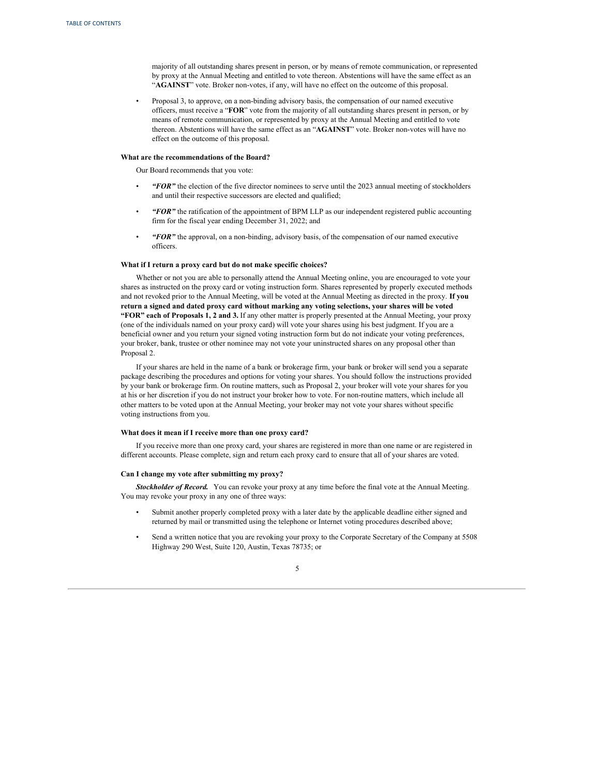majority of all outstanding shares present in person, or by means of remote communication, or represented by proxy at the Annual Meeting and entitled to vote thereon. Abstentions will have the same effect as an "**AGAINST**" vote. Broker non-votes, if any, will have no effect on the outcome of this proposal.

• Proposal 3, to approve, on a non-binding advisory basis, the compensation of our named executive officers, must receive a "**FOR**" vote from the majority of all outstanding shares present in person, or by means of remote communication, or represented by proxy at the Annual Meeting and entitled to vote thereon. Abstentions will have the same effect as an "**AGAINST**" vote. Broker non-votes will have no effect on the outcome of this proposal.

#### **What are the recommendations of the Board?**

Our Board recommends that you vote:

- *"FOR"* the election of the five director nominees to serve until the 2023 annual meeting of stockholders and until their respective successors are elected and qualified;
- *"FOR"* the ratification of the appointment of BPM LLP as our independent registered public accounting firm for the fiscal year ending December 31, 2022; and
- *"FOR"* the approval, on a non-binding, advisory basis, of the compensation of our named executive officers.

#### **What if I return a proxy card but do not make specific choices?**

Whether or not you are able to personally attend the Annual Meeting online, you are encouraged to vote your shares as instructed on the proxy card or voting instruction form. Shares represented by properly executed methods and not revoked prior to the Annual Meeting, will be voted at the Annual Meeting as directed in the proxy. **If you return a signed and dated proxy card without marking any voting selections, your shares will be voted "FOR" each of Proposals 1, 2 and 3.** If any other matter is properly presented at the Annual Meeting, your proxy (one of the individuals named on your proxy card) will vote your shares using his best judgment. If you are a beneficial owner and you return your signed voting instruction form but do not indicate your voting preferences, your broker, bank, trustee or other nominee may not vote your uninstructed shares on any proposal other than Proposal 2.

If your shares are held in the name of a bank or brokerage firm, your bank or broker will send you a separate package describing the procedures and options for voting your shares. You should follow the instructions provided by your bank or brokerage firm. On routine matters, such as Proposal 2, your broker will vote your shares for you at his or her discretion if you do not instruct your broker how to vote. For non-routine matters, which include all other matters to be voted upon at the Annual Meeting, your broker may not vote your shares without specific voting instructions from you.

### **What does it mean if I receive more than one proxy card?**

If you receive more than one proxy card, your shares are registered in more than one name or are registered in different accounts. Please complete, sign and return each proxy card to ensure that all of your shares are voted.

#### **Can I change my vote after submitting my proxy?**

*Stockholder of Record.* You can revoke your proxy at any time before the final vote at the Annual Meeting. You may revoke your proxy in any one of three ways:

- Submit another properly completed proxy with a later date by the applicable deadline either signed and returned by mail or transmitted using the telephone or Internet voting procedures described above;
- Send a written notice that you are revoking your proxy to the Corporate Secretary of the Company at 5508 Highway 290 West, Suite 120, Austin, Texas 78735; or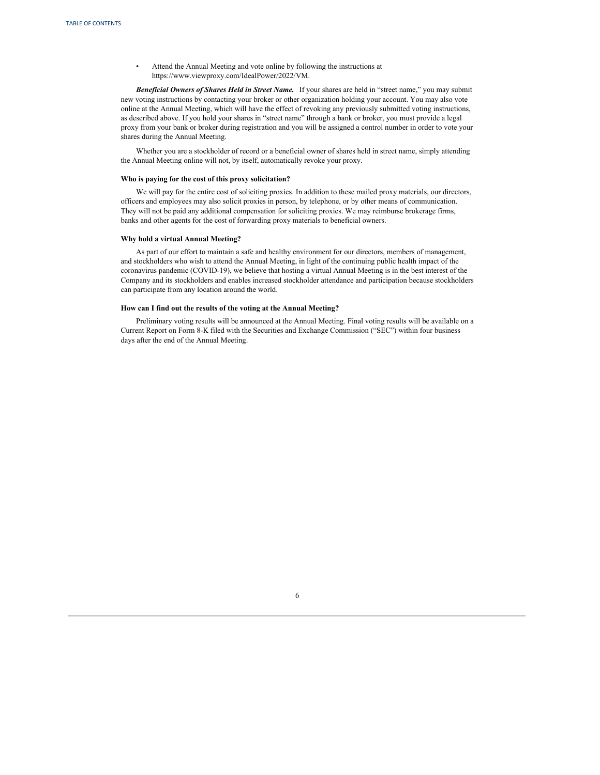• Attend the Annual Meeting and vote online by following the instructions at https://www.viewproxy.com/IdealPower/2022/VM.

*Beneficial Owners of Shares Held in Street Name.* If your shares are held in "street name," you may submit new voting instructions by contacting your broker or other organization holding your account. You may also vote online at the Annual Meeting, which will have the effect of revoking any previously submitted voting instructions, as described above. If you hold your shares in "street name" through a bank or broker, you must provide a legal proxy from your bank or broker during registration and you will be assigned a control number in order to vote your shares during the Annual Meeting.

Whether you are a stockholder of record or a beneficial owner of shares held in street name, simply attending the Annual Meeting online will not, by itself, automatically revoke your proxy.

#### **Who is paying for the cost of this proxy solicitation?**

We will pay for the entire cost of soliciting proxies. In addition to these mailed proxy materials, our directors, officers and employees may also solicit proxies in person, by telephone, or by other means of communication. They will not be paid any additional compensation for soliciting proxies. We may reimburse brokerage firms, banks and other agents for the cost of forwarding proxy materials to beneficial owners.

#### **Why hold a virtual Annual Meeting?**

As part of our effort to maintain a safe and healthy environment for our directors, members of management, and stockholders who wish to attend the Annual Meeting, in light of the continuing public health impact of the coronavirus pandemic (COVID-19), we believe that hosting a virtual Annual Meeting is in the best interest of the Company and its stockholders and enables increased stockholder attendance and participation because stockholders can participate from any location around the world.

### **How can I find out the results of the voting at the Annual Meeting?**

Preliminary voting results will be announced at the Annual Meeting. Final voting results will be available on a Current Report on Form 8-K filed with the Securities and Exchange Commission ("SEC") within four business days after the end of the Annual Meeting.

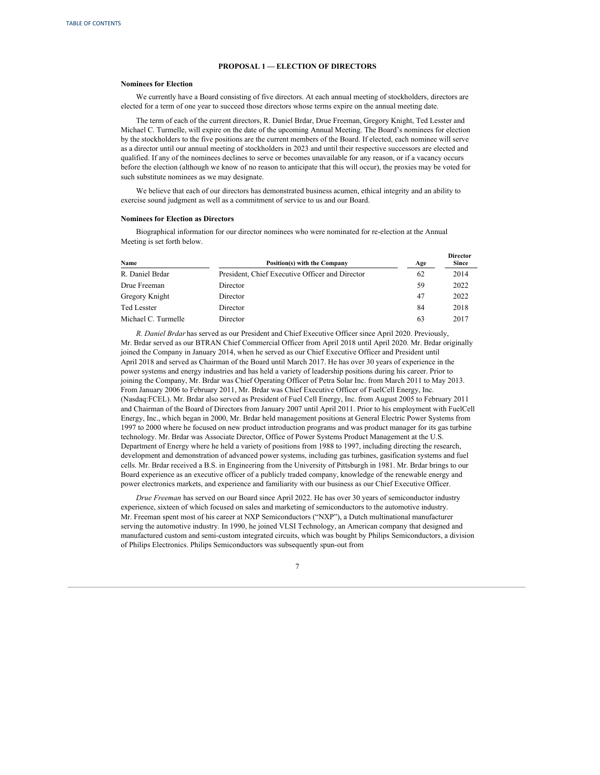#### **PROPOSAL 1 — ELECTION OF DIRECTORS**

### <span id="page-10-0"></span>**Nominees for Election**

We currently have a Board consisting of five directors. At each annual meeting of stockholders, directors are elected for a term of one year to succeed those directors whose terms expire on the annual meeting date.

The term of each of the current directors, R. Daniel Brdar, Drue Freeman, Gregory Knight, Ted Lesster and Michael C. Turmelle, will expire on the date of the upcoming Annual Meeting. The Board's nominees for election by the stockholders to the five positions are the current members of the Board. If elected, each nominee will serve as a director until our annual meeting of stockholders in 2023 and until their respective successors are elected and qualified. If any of the nominees declines to serve or becomes unavailable for any reason, or if a vacancy occurs before the election (although we know of no reason to anticipate that this will occur), the proxies may be voted for such substitute nominees as we may designate.

We believe that each of our directors has demonstrated business acumen, ethical integrity and an ability to exercise sound judgment as well as a commitment of service to us and our Board.

# **Nominees for Election as Directors**

Biographical information for our director nominees who were nominated for re-election at the Annual Meeting is set forth below.

| Name                | <b>Position(s)</b> with the Company             | Age | Director<br><b>Since</b> |
|---------------------|-------------------------------------------------|-----|--------------------------|
| R. Daniel Brdar     | President, Chief Executive Officer and Director | 62  | 2014                     |
| Drue Freeman        | Director                                        | 59  | 2022                     |
| Gregory Knight      | Director                                        | 47  | 2022                     |
| <b>Ted Lesster</b>  | Director                                        | 84  | 2018                     |
| Michael C. Turmelle | Director                                        | 63  | 2017                     |

*R. Daniel Brdar* has served as our President and Chief Executive Officer since April 2020. Previously, Mr. Brdar served as our BTRAN Chief Commercial Officer from April 2018 until April 2020. Mr. Brdar originally joined the Company in January 2014, when he served as our Chief Executive Officer and President until April 2018 and served as Chairman of the Board until March 2017. He has over 30 years of experience in the power systems and energy industries and has held a variety of leadership positions during his career. Prior to joining the Company, Mr. Brdar was Chief Operating Officer of Petra Solar Inc. from March 2011 to May 2013. From January 2006 to February 2011, Mr. Brdar was Chief Executive Officer of FuelCell Energy, Inc. (Nasdaq:FCEL). Mr. Brdar also served as President of Fuel Cell Energy, Inc. from August 2005 to February 2011 and Chairman of the Board of Directors from January 2007 until April 2011. Prior to his employment with FuelCell Energy, Inc., which began in 2000, Mr. Brdar held management positions at General Electric Power Systems from 1997 to 2000 where he focused on new product introduction programs and was product manager for its gas turbine technology. Mr. Brdar was Associate Director, Office of Power Systems Product Management at the U.S. Department of Energy where he held a variety of positions from 1988 to 1997, including directing the research, development and demonstration of advanced power systems, including gas turbines, gasification systems and fuel cells. Mr. Brdar received a B.S. in Engineering from the University of Pittsburgh in 1981. Mr. Brdar brings to our Board experience as an executive officer of a publicly traded company, knowledge of the renewable energy and power electronics markets, and experience and familiarity with our business as our Chief Executive Officer.

*Drue Freeman* has served on our Board since April 2022. He has over 30 years of semiconductor industry experience, sixteen of which focused on sales and marketing of semiconductors to the automotive industry. Mr. Freeman spent most of his career at NXP Semiconductors ("NXP"), a Dutch multinational manufacturer serving the automotive industry. In 1990, he joined VLSI Technology, an American company that designed and manufactured custom and semi-custom integrated circuits, which was bought by Philips Semiconductors, a division of Philips Electronics. Philips Semiconductors was subsequently spun-out from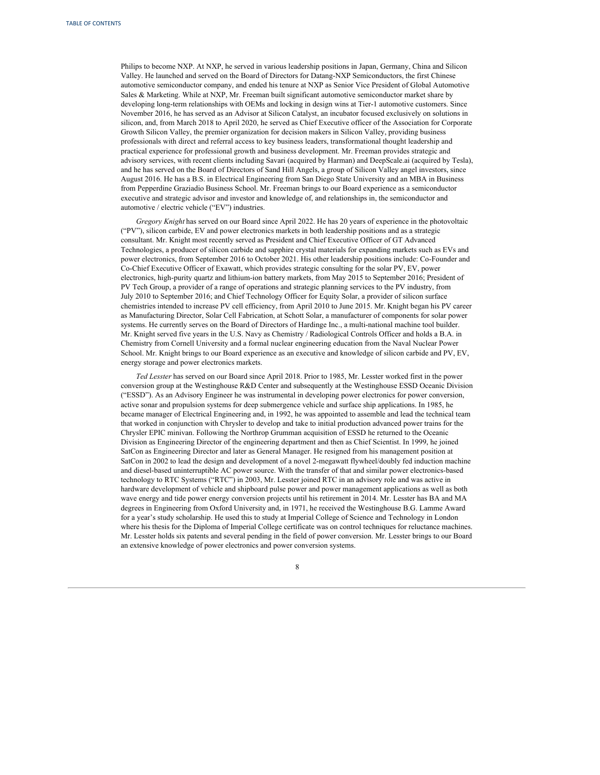Philips to become NXP. At NXP, he served in various leadership positions in Japan, Germany, China and Silicon Valley. He launched and served on the Board of Directors for Datang-NXP Semiconductors, the first Chinese automotive semiconductor company, and ended his tenure at NXP as Senior Vice President of Global Automotive Sales & Marketing. While at NXP, Mr. Freeman built significant automotive semiconductor market share by developing long-term relationships with OEMs and locking in design wins at Tier-1 automotive customers. Since November 2016, he has served as an Advisor at Silicon Catalyst, an incubator focused exclusively on solutions in silicon, and, from March 2018 to April 2020, he served as Chief Executive officer of the Association for Corporate Growth Silicon Valley, the premier organization for decision makers in Silicon Valley, providing business professionals with direct and referral access to key business leaders, transformational thought leadership and practical experience for professional growth and business development. Mr. Freeman provides strategic and advisory services, with recent clients including Savari (acquired by Harman) and DeepScale.ai (acquired by Tesla), and he has served on the Board of Directors of Sand Hill Angels, a group of Silicon Valley angel investors, since August 2016. He has a B.S. in Electrical Engineering from San Diego State University and an MBA in Business from Pepperdine Graziadio Business School. Mr. Freeman brings to our Board experience as a semiconductor executive and strategic advisor and investor and knowledge of, and relationships in, the semiconductor and automotive / electric vehicle ("EV") industries.

*Gregory Knight* has served on our Board since April 2022. He has 20 years of experience in the photovoltaic ("PV"), silicon carbide, EV and power electronics markets in both leadership positions and as a strategic consultant. Mr. Knight most recently served as President and Chief Executive Officer of GT Advanced Technologies, a producer of silicon carbide and sapphire crystal materials for expanding markets such as EVs and power electronics, from September 2016 to October 2021. His other leadership positions include: Co-Founder and Co-Chief Executive Officer of Exawatt, which provides strategic consulting for the solar PV, EV, power electronics, high-purity quartz and lithium-ion battery markets, from May 2015 to September 2016; President of PV Tech Group, a provider of a range of operations and strategic planning services to the PV industry, from July 2010 to September 2016; and Chief Technology Officer for Equity Solar, a provider of silicon surface chemistries intended to increase PV cell efficiency, from April 2010 to June 2015. Mr. Knight began his PV career as Manufacturing Director, Solar Cell Fabrication, at Schott Solar, a manufacturer of components for solar power systems. He currently serves on the Board of Directors of Hardinge Inc., a multi-national machine tool builder. Mr. Knight served five years in the U.S. Navy as Chemistry / Radiological Controls Officer and holds a B.A. in Chemistry from Cornell University and a formal nuclear engineering education from the Naval Nuclear Power School. Mr. Knight brings to our Board experience as an executive and knowledge of silicon carbide and PV, EV, energy storage and power electronics markets.

*Ted Lesster* has served on our Board since April 2018. Prior to 1985, Mr. Lesster worked first in the power conversion group at the Westinghouse R&D Center and subsequently at the Westinghouse ESSD Oceanic Division ("ESSD"). As an Advisory Engineer he was instrumental in developing power electronics for power conversion, active sonar and propulsion systems for deep submergence vehicle and surface ship applications. In 1985, he became manager of Electrical Engineering and, in 1992, he was appointed to assemble and lead the technical team that worked in conjunction with Chrysler to develop and take to initial production advanced power trains for the Chrysler EPIC minivan. Following the Northrop Grumman acquisition of ESSD he returned to the Oceanic Division as Engineering Director of the engineering department and then as Chief Scientist. In 1999, he joined SatCon as Engineering Director and later as General Manager. He resigned from his management position at SatCon in 2002 to lead the design and development of a novel 2-megawatt flywheel/doubly fed induction machine and diesel-based uninterruptible AC power source. With the transfer of that and similar power electronics-based technology to RTC Systems ("RTC") in 2003, Mr. Lesster joined RTC in an advisory role and was active in hardware development of vehicle and shipboard pulse power and power management applications as well as both wave energy and tide power energy conversion projects until his retirement in 2014. Mr. Lesster has BA and MA degrees in Engineering from Oxford University and, in 1971, he received the Westinghouse B.G. Lamme Award for a year's study scholarship. He used this to study at Imperial College of Science and Technology in London where his thesis for the Diploma of Imperial College certificate was on control techniques for reluctance machines. Mr. Lesster holds six patents and several pending in the field of power conversion. Mr. Lesster brings to our Board an extensive knowledge of power electronics and power conversion systems.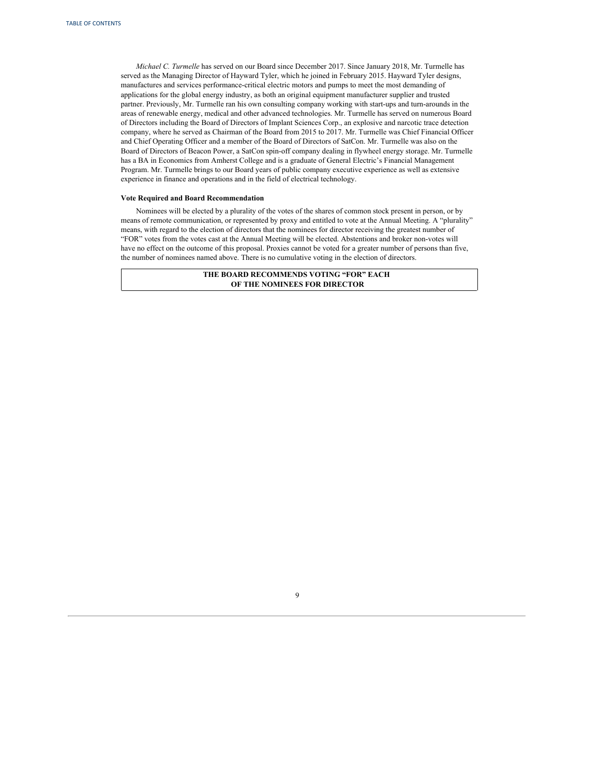*Michael C. Turmelle* has served on our Board since December 2017. Since January 2018, Mr. Turmelle has served as the Managing Director of Hayward Tyler, which he joined in February 2015. Hayward Tyler designs, manufactures and services performance-critical electric motors and pumps to meet the most demanding of applications for the global energy industry, as both an original equipment manufacturer supplier and trusted partner. Previously, Mr. Turmelle ran his own consulting company working with start-ups and turn-arounds in the areas of renewable energy, medical and other advanced technologies. Mr. Turmelle has served on numerous Board of Directors including the Board of Directors of Implant Sciences Corp., an explosive and narcotic trace detection company, where he served as Chairman of the Board from 2015 to 2017. Mr. Turmelle was Chief Financial Officer and Chief Operating Officer and a member of the Board of Directors of SatCon. Mr. Turmelle was also on the Board of Directors of Beacon Power, a SatCon spin-off company dealing in flywheel energy storage. Mr. Turmelle has a BA in Economics from Amherst College and is a graduate of General Electric's Financial Management Program. Mr. Turmelle brings to our Board years of public company executive experience as well as extensive experience in finance and operations and in the field of electrical technology.

# **Vote Required and Board Recommendation**

Nominees will be elected by a plurality of the votes of the shares of common stock present in person, or by means of remote communication, or represented by proxy and entitled to vote at the Annual Meeting. A "plurality" means, with regard to the election of directors that the nominees for director receiving the greatest number of "FOR" votes from the votes cast at the Annual Meeting will be elected. Abstentions and broker non-votes will have no effect on the outcome of this proposal. Proxies cannot be voted for a greater number of persons than five, the number of nominees named above. There is no cumulative voting in the election of directors.

> **THE BOARD RECOMMENDS VOTING "FOR" EACH OF THE NOMINEES FOR DIRECTOR**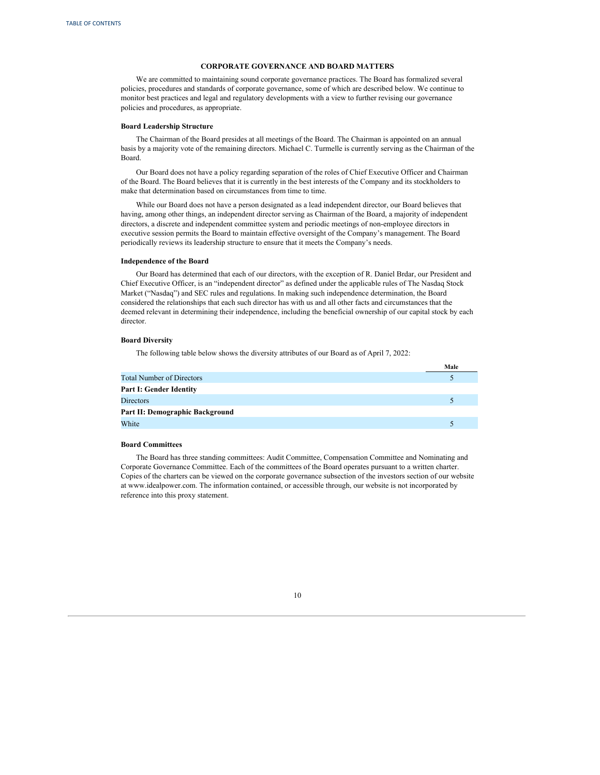#### **CORPORATE GOVERNANCE AND BOARD MATTERS**

<span id="page-13-0"></span>We are committed to maintaining sound corporate governance practices. The Board has formalized several policies, procedures and standards of corporate governance, some of which are described below. We continue to monitor best practices and legal and regulatory developments with a view to further revising our governance policies and procedures, as appropriate.

#### **Board Leadership Structure**

The Chairman of the Board presides at all meetings of the Board. The Chairman is appointed on an annual basis by a majority vote of the remaining directors. Michael C. Turmelle is currently serving as the Chairman of the Board.

Our Board does not have a policy regarding separation of the roles of Chief Executive Officer and Chairman of the Board. The Board believes that it is currently in the best interests of the Company and its stockholders to make that determination based on circumstances from time to time.

While our Board does not have a person designated as a lead independent director, our Board believes that having, among other things, an independent director serving as Chairman of the Board, a majority of independent directors, a discrete and independent committee system and periodic meetings of non-employee directors in executive session permits the Board to maintain effective oversight of the Company's management. The Board periodically reviews its leadership structure to ensure that it meets the Company's needs.

### **Independence of the Board**

Our Board has determined that each of our directors, with the exception of R. Daniel Brdar, our President and Chief Executive Officer, is an "independent director" as defined under the applicable rules of The Nasdaq Stock Market ("Nasdaq") and SEC rules and regulations. In making such independence determination, the Board considered the relationships that each such director has with us and all other facts and circumstances that the deemed relevant in determining their independence, including the beneficial ownership of our capital stock by each director.

# **Board Diversity**

The following table below shows the diversity attributes of our Board as of April 7, 2022:

|                                  | Male |
|----------------------------------|------|
| <b>Total Number of Directors</b> |      |
| Part I: Gender Identity          |      |
| <b>Directors</b>                 |      |
| Part II: Demographic Background  |      |
| White                            |      |

# **Board Committees**

The Board has three standing committees: Audit Committee, Compensation Committee and Nominating and Corporate Governance Committee. Each of the committees of the Board operates pursuant to a written charter. Copies of the charters can be viewed on the corporate governance subsection of the investors section of our website at www.idealpower.com. The information contained, or accessible through, our website is not incorporated by reference into this proxy statement.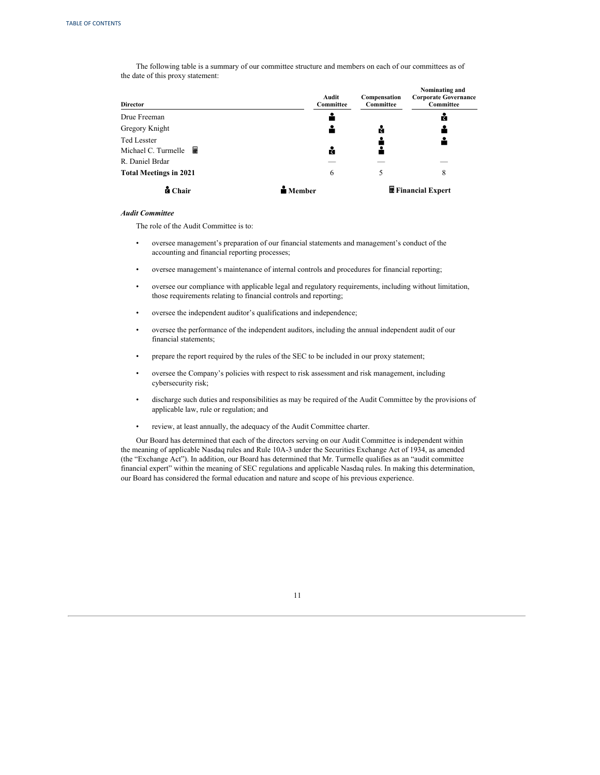The following table is a summary of our committee structure and members on each of our committees as of the date of this proxy statement:

| <b>Director</b>                                | Audit<br>Committee | Compensation<br>Committee | Nominating and<br><b>Corporate Governance</b><br>Committee |
|------------------------------------------------|--------------------|---------------------------|------------------------------------------------------------|
| Drue Freeman                                   |                    |                           | ă                                                          |
| Gregory Knight                                 |                    | ů                         |                                                            |
| <b>Ted Lesster</b><br>圛<br>Michael C. Turmelle | ă                  |                           |                                                            |
| R. Daniel Brdar                                |                    |                           |                                                            |
| <b>Total Meetings in 2021</b>                  | 6                  | 5                         | 8                                                          |
| <b>d</b> Chair                                 | <b>Member</b>      |                           | ■ Financial Expert                                         |

# *Audit Committee*

The role of the Audit Committee is to:

- oversee management's preparation of our financial statements and management's conduct of the accounting and financial reporting processes;
- oversee management's maintenance of internal controls and procedures for financial reporting;
- oversee our compliance with applicable legal and regulatory requirements, including without limitation, those requirements relating to financial controls and reporting;
- oversee the independent auditor's qualifications and independence;
- oversee the performance of the independent auditors, including the annual independent audit of our financial statements;
- prepare the report required by the rules of the SEC to be included in our proxy statement;
- oversee the Company's policies with respect to risk assessment and risk management, including cybersecurity risk;
- discharge such duties and responsibilities as may be required of the Audit Committee by the provisions of applicable law, rule or regulation; and
- review, at least annually, the adequacy of the Audit Committee charter.

Our Board has determined that each of the directors serving on our Audit Committee is independent within the meaning of applicable Nasdaq rules and Rule 10A-3 under the Securities Exchange Act of 1934, as amended (the "Exchange Act"). In addition, our Board has determined that Mr. Turmelle qualifies as an "audit committee financial expert" within the meaning of SEC regulations and applicable Nasdaq rules. In making this determination, our Board has considered the formal education and nature and scope of his previous experience.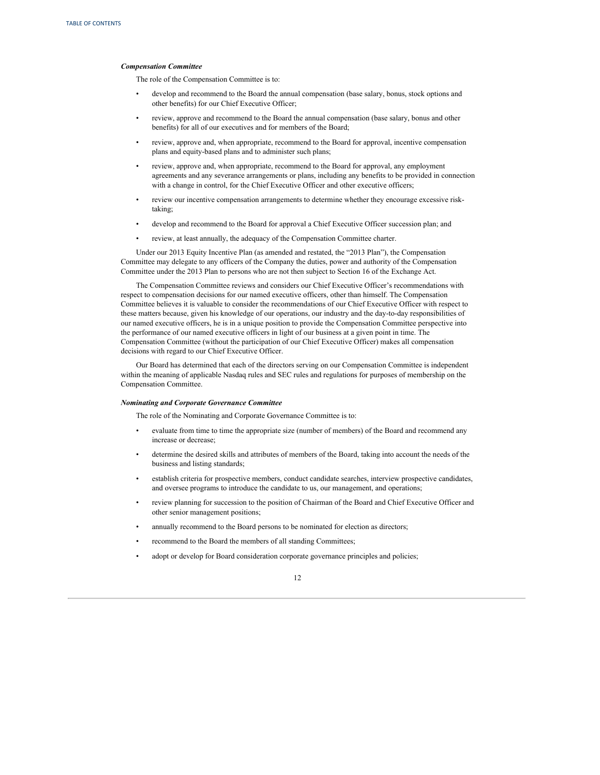#### *Compensation Committee*

The role of the Compensation Committee is to:

- develop and recommend to the Board the annual compensation (base salary, bonus, stock options and other benefits) for our Chief Executive Officer;
- review, approve and recommend to the Board the annual compensation (base salary, bonus and other benefits) for all of our executives and for members of the Board;
- review, approve and, when appropriate, recommend to the Board for approval, incentive compensation plans and equity-based plans and to administer such plans;
- review, approve and, when appropriate, recommend to the Board for approval, any employment agreements and any severance arrangements or plans, including any benefits to be provided in connection with a change in control, for the Chief Executive Officer and other executive officers;
- review our incentive compensation arrangements to determine whether they encourage excessive risktaking;
- develop and recommend to the Board for approval a Chief Executive Officer succession plan; and
- review, at least annually, the adequacy of the Compensation Committee charter.

Under our 2013 Equity Incentive Plan (as amended and restated, the "2013 Plan"), the Compensation Committee may delegate to any officers of the Company the duties, power and authority of the Compensation Committee under the 2013 Plan to persons who are not then subject to Section 16 of the Exchange Act.

The Compensation Committee reviews and considers our Chief Executive Officer's recommendations with respect to compensation decisions for our named executive officers, other than himself. The Compensation Committee believes it is valuable to consider the recommendations of our Chief Executive Officer with respect to these matters because, given his knowledge of our operations, our industry and the day-to-day responsibilities of our named executive officers, he is in a unique position to provide the Compensation Committee perspective into the performance of our named executive officers in light of our business at a given point in time. The Compensation Committee (without the participation of our Chief Executive Officer) makes all compensation decisions with regard to our Chief Executive Officer.

Our Board has determined that each of the directors serving on our Compensation Committee is independent within the meaning of applicable Nasdaq rules and SEC rules and regulations for purposes of membership on the Compensation Committee.

# *Nominating and Corporate Governance Committee*

The role of the Nominating and Corporate Governance Committee is to:

- evaluate from time to time the appropriate size (number of members) of the Board and recommend any increase or decrease;
- determine the desired skills and attributes of members of the Board, taking into account the needs of the business and listing standards;
- establish criteria for prospective members, conduct candidate searches, interview prospective candidates, and oversee programs to introduce the candidate to us, our management, and operations;
- review planning for succession to the position of Chairman of the Board and Chief Executive Officer and other senior management positions;
- annually recommend to the Board persons to be nominated for election as directors;
- recommend to the Board the members of all standing Committees;
- adopt or develop for Board consideration corporate governance principles and policies;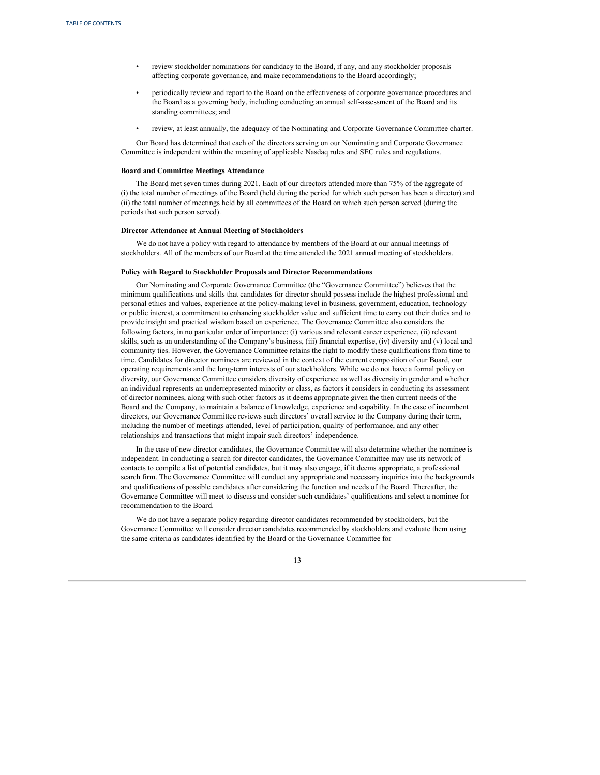- review stockholder nominations for candidacy to the Board, if any, and any stockholder proposals affecting corporate governance, and make recommendations to the Board accordingly;
- periodically review and report to the Board on the effectiveness of corporate governance procedures and the Board as a governing body, including conducting an annual self-assessment of the Board and its standing committees; and
- review, at least annually, the adequacy of the Nominating and Corporate Governance Committee charter.

Our Board has determined that each of the directors serving on our Nominating and Corporate Governance Committee is independent within the meaning of applicable Nasdaq rules and SEC rules and regulations.

# **Board and Committee Meetings Attendance**

The Board met seven times during 2021. Each of our directors attended more than 75% of the aggregate of (i) the total number of meetings of the Board (held during the period for which such person has been a director) and (ii) the total number of meetings held by all committees of the Board on which such person served (during the periods that such person served).

#### **Director Attendance at Annual Meeting of Stockholders**

We do not have a policy with regard to attendance by members of the Board at our annual meetings of stockholders. All of the members of our Board at the time attended the 2021 annual meeting of stockholders.

#### **Policy with Regard to Stockholder Proposals and Director Recommendations**

Our Nominating and Corporate Governance Committee (the "Governance Committee") believes that the minimum qualifications and skills that candidates for director should possess include the highest professional and personal ethics and values, experience at the policy-making level in business, government, education, technology or public interest, a commitment to enhancing stockholder value and sufficient time to carry out their duties and to provide insight and practical wisdom based on experience. The Governance Committee also considers the following factors, in no particular order of importance: (i) various and relevant career experience, (ii) relevant skills, such as an understanding of the Company's business, (iii) financial expertise, (iv) diversity and (v) local and community ties. However, the Governance Committee retains the right to modify these qualifications from time to time. Candidates for director nominees are reviewed in the context of the current composition of our Board, our operating requirements and the long-term interests of our stockholders. While we do not have a formal policy on diversity, our Governance Committee considers diversity of experience as well as diversity in gender and whether an individual represents an underrepresented minority or class, as factors it considers in conducting its assessment of director nominees, along with such other factors as it deems appropriate given the then current needs of the Board and the Company, to maintain a balance of knowledge, experience and capability. In the case of incumbent directors, our Governance Committee reviews such directors' overall service to the Company during their term, including the number of meetings attended, level of participation, quality of performance, and any other relationships and transactions that might impair such directors' independence.

In the case of new director candidates, the Governance Committee will also determine whether the nominee is independent. In conducting a search for director candidates, the Governance Committee may use its network of contacts to compile a list of potential candidates, but it may also engage, if it deems appropriate, a professional search firm. The Governance Committee will conduct any appropriate and necessary inquiries into the backgrounds and qualifications of possible candidates after considering the function and needs of the Board. Thereafter, the Governance Committee will meet to discuss and consider such candidates' qualifications and select a nominee for recommendation to the Board.

We do not have a separate policy regarding director candidates recommended by stockholders, but the Governance Committee will consider director candidates recommended by stockholders and evaluate them using the same criteria as candidates identified by the Board or the Governance Committee for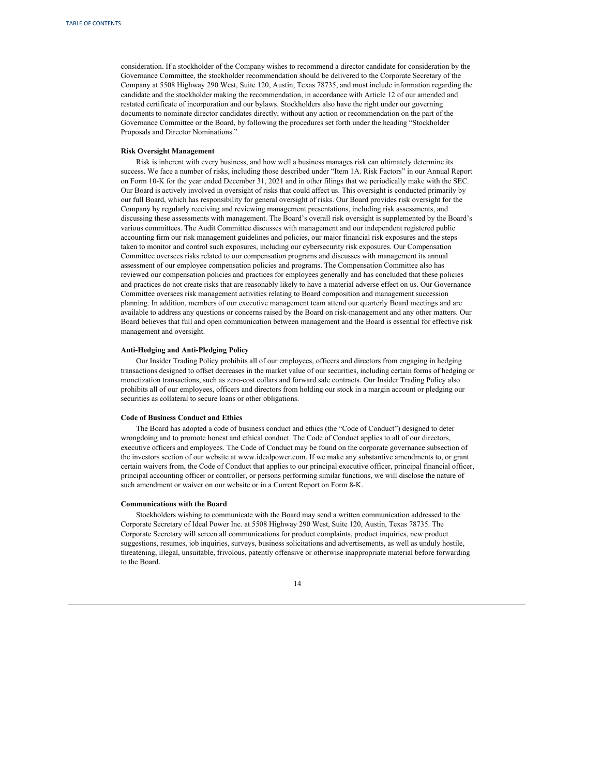consideration. If a stockholder of the Company wishes to recommend a director candidate for consideration by the Governance Committee, the stockholder recommendation should be delivered to the Corporate Secretary of the Company at 5508 Highway 290 West, Suite 120, Austin, Texas 78735, and must include information regarding the candidate and the stockholder making the recommendation, in accordance with Article 12 of our amended and restated certificate of incorporation and our bylaws. Stockholders also have the right under our governing documents to nominate director candidates directly, without any action or recommendation on the part of the Governance Committee or the Board, by following the procedures set forth under the heading "Stockholder Proposals and Director Nominations."

# **Risk Oversight Management**

Risk is inherent with every business, and how well a business manages risk can ultimately determine its success. We face a number of risks, including those described under "Item 1A. Risk Factors" in our Annual Report on Form 10-K for the year ended December 31, 2021 and in other filings that we periodically make with the SEC. Our Board is actively involved in oversight of risks that could affect us. This oversight is conducted primarily by our full Board, which has responsibility for general oversight of risks. Our Board provides risk oversight for the Company by regularly receiving and reviewing management presentations, including risk assessments, and discussing these assessments with management. The Board's overall risk oversight is supplemented by the Board's various committees. The Audit Committee discusses with management and our independent registered public accounting firm our risk management guidelines and policies, our major financial risk exposures and the steps taken to monitor and control such exposures, including our cybersecurity risk exposures. Our Compensation Committee oversees risks related to our compensation programs and discusses with management its annual assessment of our employee compensation policies and programs. The Compensation Committee also has reviewed our compensation policies and practices for employees generally and has concluded that these policies and practices do not create risks that are reasonably likely to have a material adverse effect on us. Our Governance Committee oversees risk management activities relating to Board composition and management succession planning. In addition, members of our executive management team attend our quarterly Board meetings and are available to address any questions or concerns raised by the Board on risk-management and any other matters. Our Board believes that full and open communication between management and the Board is essential for effective risk management and oversight.

#### **Anti-Hedging and Anti-Pledging Policy**

Our Insider Trading Policy prohibits all of our employees, officers and directors from engaging in hedging transactions designed to offset decreases in the market value of our securities, including certain forms of hedging or monetization transactions, such as zero-cost collars and forward sale contracts. Our Insider Trading Policy also prohibits all of our employees, officers and directors from holding our stock in a margin account or pledging our securities as collateral to secure loans or other obligations.

#### **Code of Business Conduct and Ethics**

The Board has adopted a code of business conduct and ethics (the "Code of Conduct") designed to deter wrongdoing and to promote honest and ethical conduct. The Code of Conduct applies to all of our directors, executive officers and employees. The Code of Conduct may be found on the corporate governance subsection of the investors section of our website at www.idealpower.com. If we make any substantive amendments to, or grant certain waivers from, the Code of Conduct that applies to our principal executive officer, principal financial officer, principal accounting officer or controller, or persons performing similar functions, we will disclose the nature of such amendment or waiver on our website or in a Current Report on Form 8-K.

#### **Communications with the Board**

Stockholders wishing to communicate with the Board may send a written communication addressed to the Corporate Secretary of Ideal Power Inc. at 5508 Highway 290 West, Suite 120, Austin, Texas 78735. The Corporate Secretary will screen all communications for product complaints, product inquiries, new product suggestions, resumes, job inquiries, surveys, business solicitations and advertisements, as well as unduly hostile, threatening, illegal, unsuitable, frivolous, patently offensive or otherwise inappropriate material before forwarding to the Board.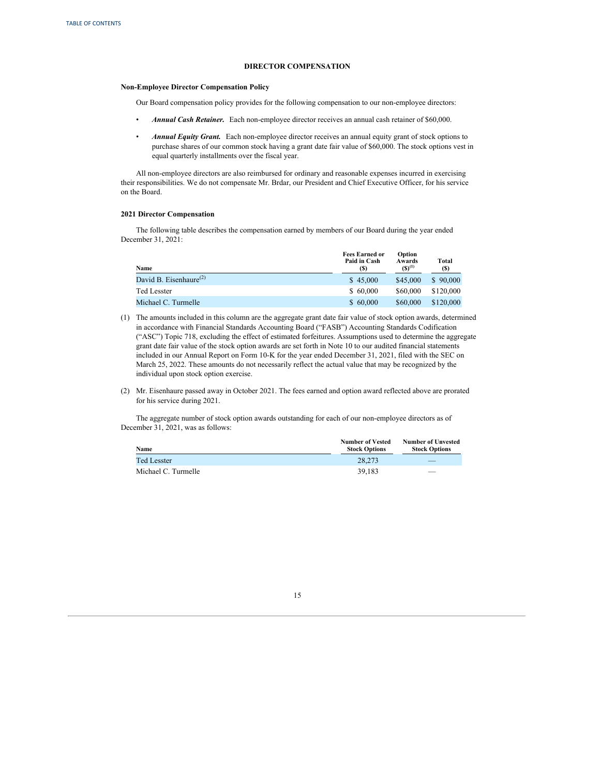# **DIRECTOR COMPENSATION**

#### <span id="page-18-0"></span>**Non-Employee Director Compensation Policy**

Our Board compensation policy provides for the following compensation to our non-employee directors:

- *Annual Cash Retainer.* Each non-employee director receives an annual cash retainer of \$60,000.
- *Annual Equity Grant.* Each non-employee director receives an annual equity grant of stock options to purchase shares of our common stock having a grant date fair value of \$60,000. The stock options vest in equal quarterly installments over the fiscal year.

All non-employee directors are also reimbursed for ordinary and reasonable expenses incurred in exercising their responsibilities. We do not compensate Mr. Brdar, our President and Chief Executive Officer, for his service on the Board.

# **2021 Director Compensation**

The following table describes the compensation earned by members of our Board during the year ended December 31, 2021:

| Name                               | <b>Fees Earned or</b><br>Paid in Cash<br><b>(S)</b> | Option<br>Awards<br>$(S)^{(1)}$ | Total<br>(S) |
|------------------------------------|-----------------------------------------------------|---------------------------------|--------------|
| David B. Eisenhaure <sup>(2)</sup> | \$45,000                                            | \$45,000                        | \$90,000     |
| <b>Ted Lesster</b>                 | \$60,000                                            | \$60,000                        | \$120,000    |
| Michael C. Turmelle                | \$60,000                                            | \$60,000                        | \$120,000    |

- (1) The amounts included in this column are the aggregate grant date fair value of stock option awards, determined in accordance with Financial Standards Accounting Board ("FASB") Accounting Standards Codification ("ASC") Topic 718, excluding the effect of estimated forfeitures. Assumptions used to determine the aggregate grant date fair value of the stock option awards are set forth in Note 10 to our audited financial statements included in our Annual Report on Form 10-K for the year ended December 31, 2021, filed with the SEC on March 25, 2022. These amounts do not necessarily reflect the actual value that may be recognized by the individual upon stock option exercise.
- (2) Mr. Eisenhaure passed away in October 2021. The fees earned and option award reflected above are prorated for his service during 2021.

The aggregate number of stock option awards outstanding for each of our non-employee directors as of December 31, 2021, was as follows:

| Name                | <b>Number of Vested</b><br><b>Stock Options</b> | <b>Number of Unvested</b><br><b>Stock Options</b> |
|---------------------|-------------------------------------------------|---------------------------------------------------|
| Ted Lesster         | 28,273                                          |                                                   |
| Michael C. Turmelle | 39.183                                          | $\overline{\phantom{a}}$                          |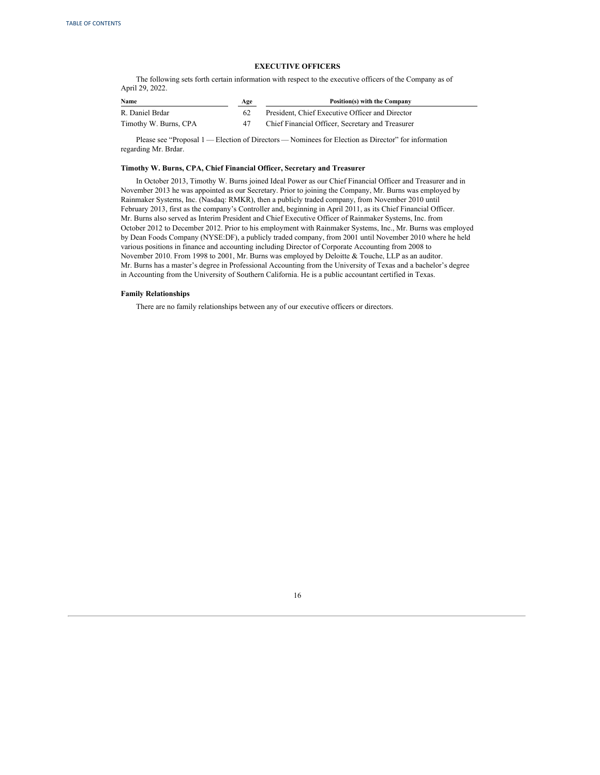### **EXECUTIVE OFFICERS**

<span id="page-19-0"></span>The following sets forth certain information with respect to the executive officers of the Company as of April 29, 2022.

| Name                  | Age | Position(s) with the Company                     |
|-----------------------|-----|--------------------------------------------------|
| R. Daniel Brdar       |     | President, Chief Executive Officer and Director  |
| Timothy W. Burns, CPA | 47  | Chief Financial Officer, Secretary and Treasurer |

Please see "Proposal 1 — Election of Directors — Nominees for Election as Director" for information regarding Mr. Brdar.

# **Timothy W. Burns, CPA, Chief Financial Officer, Secretary and Treasurer**

In October 2013, Timothy W. Burns joined Ideal Power as our Chief Financial Officer and Treasurer and in November 2013 he was appointed as our Secretary. Prior to joining the Company, Mr. Burns was employed by Rainmaker Systems, Inc. (Nasdaq: RMKR), then a publicly traded company, from November 2010 until February 2013, first as the company's Controller and, beginning in April 2011, as its Chief Financial Officer. Mr. Burns also served as Interim President and Chief Executive Officer of Rainmaker Systems, Inc. from October 2012 to December 2012. Prior to his employment with Rainmaker Systems, Inc., Mr. Burns was employed by Dean Foods Company (NYSE:DF), a publicly traded company, from 2001 until November 2010 where he held various positions in finance and accounting including Director of Corporate Accounting from 2008 to November 2010. From 1998 to 2001, Mr. Burns was employed by Deloitte & Touche, LLP as an auditor. Mr. Burns has a master's degree in Professional Accounting from the University of Texas and a bachelor's degree in Accounting from the University of Southern California. He is a public accountant certified in Texas.

### **Family Relationships**

There are no family relationships between any of our executive officers or directors.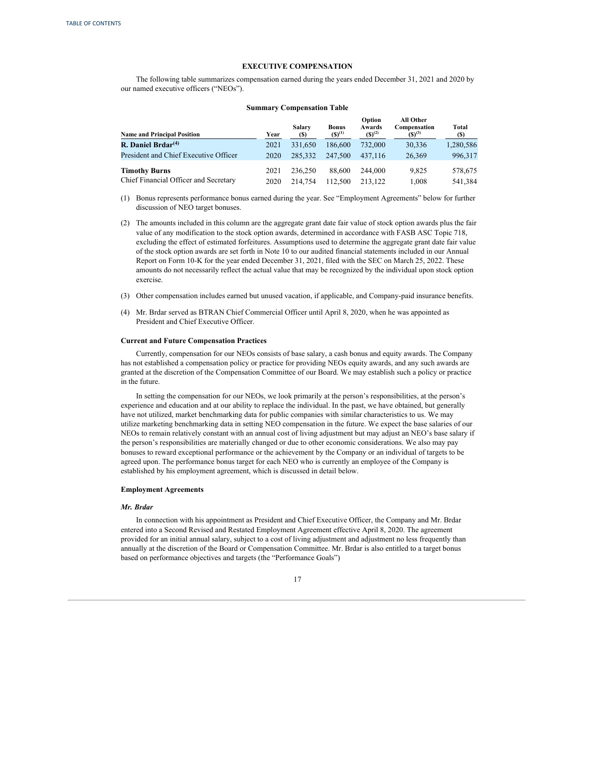#### **EXECUTIVE COMPENSATION**

<span id="page-20-0"></span>The following table summarizes compensation earned during the years ended December 31, 2021 and 2020 by our named executive officers ("NEOs").

#### **Summary Compensation Table**

| <b>Name and Principal Position</b>                            | Year         | Salary<br>(S)      | <b>Bonus</b><br>$(S)^{(1)}$ | Option<br>Awards<br>$(S)^{(2)}$ | All Other<br>Compensation<br>$(S)^{(3)}$ | Total<br><b>(S)</b> |
|---------------------------------------------------------------|--------------|--------------------|-----------------------------|---------------------------------|------------------------------------------|---------------------|
| R. Daniel Brdar $(4)$                                         | 2021         | 331,650            | 186,600                     | 732,000                         | 30,336                                   | 1,280,586           |
| President and Chief Executive Officer                         | 2020         | 285,332            | 247,500                     | 437.116                         | 26,369                                   | 996,317             |
| <b>Timothy Burns</b><br>Chief Financial Officer and Secretary | 2021<br>2020 | 236,250<br>214,754 | 88,600<br>112.500           | 244,000<br>213.122              | 9.825<br>1.008                           | 578,675<br>541,384  |

(1) Bonus represents performance bonus earned during the year. See "Employment Agreements" below for further discussion of NEO target bonuses.

(2) The amounts included in this column are the aggregate grant date fair value of stock option awards plus the fair value of any modification to the stock option awards, determined in accordance with FASB ASC Topic 718, excluding the effect of estimated forfeitures. Assumptions used to determine the aggregate grant date fair value of the stock option awards are set forth in Note 10 to our audited financial statements included in our Annual Report on Form 10-K for the year ended December 31, 2021, filed with the SEC on March 25, 2022. These amounts do not necessarily reflect the actual value that may be recognized by the individual upon stock option exercise.

- (3) Other compensation includes earned but unused vacation, if applicable, and Company-paid insurance benefits.
- (4) Mr. Brdar served as BTRAN Chief Commercial Officer until April 8, 2020, when he was appointed as President and Chief Executive Officer.

# **Current and Future Compensation Practices**

Currently, compensation for our NEOs consists of base salary, a cash bonus and equity awards. The Company has not established a compensation policy or practice for providing NEOs equity awards, and any such awards are granted at the discretion of the Compensation Committee of our Board. We may establish such a policy or practice in the future.

In setting the compensation for our NEOs, we look primarily at the person's responsibilities, at the person's experience and education and at our ability to replace the individual. In the past, we have obtained, but generally have not utilized, market benchmarking data for public companies with similar characteristics to us. We may utilize marketing benchmarking data in setting NEO compensation in the future. We expect the base salaries of our NEOs to remain relatively constant with an annual cost of living adjustment but may adjust an NEO's base salary if the person's responsibilities are materially changed or due to other economic considerations. We also may pay bonuses to reward exceptional performance or the achievement by the Company or an individual of targets to be agreed upon. The performance bonus target for each NEO who is currently an employee of the Company is established by his employment agreement, which is discussed in detail below.

# **Employment Agreements**

#### *Mr. Brdar*

In connection with his appointment as President and Chief Executive Officer, the Company and Mr. Brdar entered into a Second Revised and Restated Employment Agreement effective April 8, 2020. The agreement provided for an initial annual salary, subject to a cost of living adjustment and adjustment no less frequently than annually at the discretion of the Board or Compensation Committee. Mr. Brdar is also entitled to a target bonus based on performance objectives and targets (the "Performance Goals")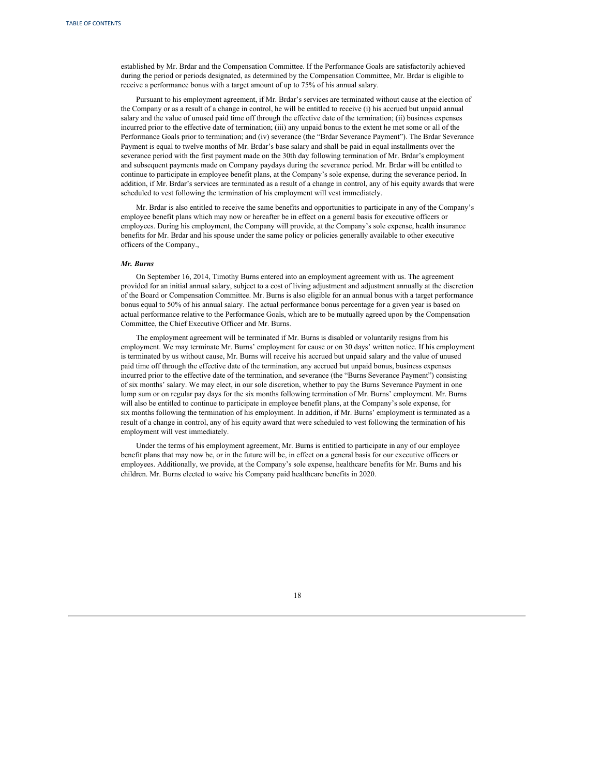established by Mr. Brdar and the Compensation Committee. If the Performance Goals are satisfactorily achieved during the period or periods designated, as determined by the Compensation Committee, Mr. Brdar is eligible to receive a performance bonus with a target amount of up to 75% of his annual salary.

Pursuant to his employment agreement, if Mr. Brdar's services are terminated without cause at the election of the Company or as a result of a change in control, he will be entitled to receive (i) his accrued but unpaid annual salary and the value of unused paid time off through the effective date of the termination; (ii) business expenses incurred prior to the effective date of termination; (iii) any unpaid bonus to the extent he met some or all of the Performance Goals prior to termination; and (iv) severance (the "Brdar Severance Payment"). The Brdar Severance Payment is equal to twelve months of Mr. Brdar's base salary and shall be paid in equal installments over the severance period with the first payment made on the 30th day following termination of Mr. Brdar's employment and subsequent payments made on Company paydays during the severance period. Mr. Brdar will be entitled to continue to participate in employee benefit plans, at the Company's sole expense, during the severance period. In addition, if Mr. Brdar's services are terminated as a result of a change in control, any of his equity awards that were scheduled to vest following the termination of his employment will vest immediately.

Mr. Brdar is also entitled to receive the same benefits and opportunities to participate in any of the Company's employee benefit plans which may now or hereafter be in effect on a general basis for executive officers or employees. During his employment, the Company will provide, at the Company's sole expense, health insurance benefits for Mr. Brdar and his spouse under the same policy or policies generally available to other executive officers of the Company.,

# *Mr. Burns*

On September 16, 2014, Timothy Burns entered into an employment agreement with us. The agreement provided for an initial annual salary, subject to a cost of living adjustment and adjustment annually at the discretion of the Board or Compensation Committee. Mr. Burns is also eligible for an annual bonus with a target performance bonus equal to 50% of his annual salary. The actual performance bonus percentage for a given year is based on actual performance relative to the Performance Goals, which are to be mutually agreed upon by the Compensation Committee, the Chief Executive Officer and Mr. Burns.

The employment agreement will be terminated if Mr. Burns is disabled or voluntarily resigns from his employment. We may terminate Mr. Burns' employment for cause or on 30 days' written notice. If his employment is terminated by us without cause, Mr. Burns will receive his accrued but unpaid salary and the value of unused paid time off through the effective date of the termination, any accrued but unpaid bonus, business expenses incurred prior to the effective date of the termination, and severance (the "Burns Severance Payment") consisting of six months' salary. We may elect, in our sole discretion, whether to pay the Burns Severance Payment in one lump sum or on regular pay days for the six months following termination of Mr. Burns' employment. Mr. Burns will also be entitled to continue to participate in employee benefit plans, at the Company's sole expense, for six months following the termination of his employment. In addition, if Mr. Burns' employment is terminated as a result of a change in control, any of his equity award that were scheduled to vest following the termination of his employment will vest immediately.

Under the terms of his employment agreement, Mr. Burns is entitled to participate in any of our employee benefit plans that may now be, or in the future will be, in effect on a general basis for our executive officers or employees. Additionally, we provide, at the Company's sole expense, healthcare benefits for Mr. Burns and his children. Mr. Burns elected to waive his Company paid healthcare benefits in 2020.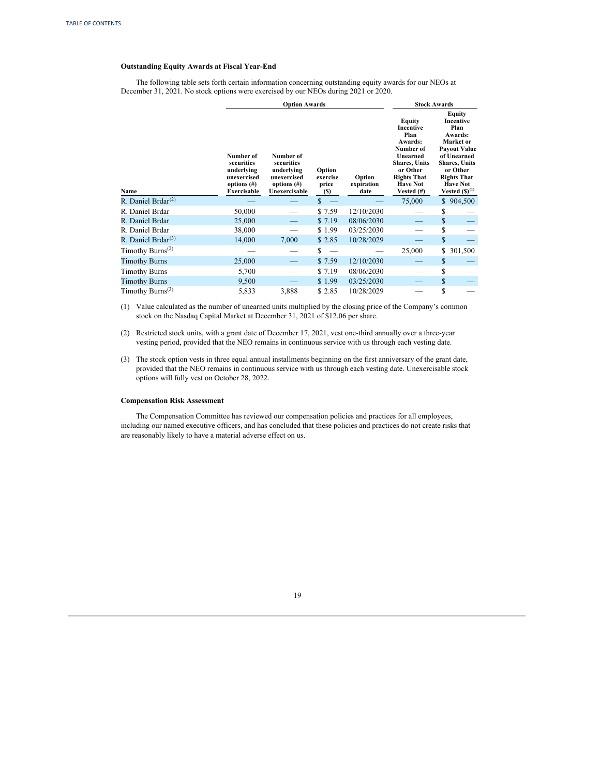# **Outstanding Equity Awards at Fiscal Year-End**

The following table sets forth certain information concerning outstanding equity awards for our NEOs at December 31, 2021. No stock options were exercised by our NEOs during 2021 or 2020.

|                                           |                                                                                       | <b>Option Awards</b>                                                                    |                                           | <b>Stock Awards</b>          |                                                                                                                                                                          |                                                                                                                                                                                                     |
|-------------------------------------------|---------------------------------------------------------------------------------------|-----------------------------------------------------------------------------------------|-------------------------------------------|------------------------------|--------------------------------------------------------------------------------------------------------------------------------------------------------------------------|-----------------------------------------------------------------------------------------------------------------------------------------------------------------------------------------------------|
| Name                                      | Number of<br>securities<br>underlying<br>unexercised<br>options $(\#)$<br>Exercisable | Number of<br>securities<br>underlying<br>unexercised<br>options $(\#)$<br>Unexercisable | Option<br>exercise<br>price<br><b>(S)</b> | Option<br>expiration<br>date | Equity<br><b>Incentive</b><br>Plan<br><b>Awards:</b><br>Number of<br>Unearned<br><b>Shares, Units</b><br>or Other<br><b>Rights That</b><br><b>Have Not</b><br>Vested (#) | <b>Equity</b><br>Incentive<br>Plan<br>Awards:<br>Market or<br><b>Payout Value</b><br>of Unearned<br><b>Shares, Units</b><br>or Other<br><b>Rights That</b><br><b>Have Not</b><br>Vested $(S)^{(1)}$ |
| R. Daniel Brdar $^{(2)}$                  |                                                                                       |                                                                                         | $\mathbb{S}$                              |                              | 75,000                                                                                                                                                                   | \$904,500                                                                                                                                                                                           |
| R. Daniel Brdar                           | 50,000                                                                                |                                                                                         | \$7.59                                    | 12/10/2030                   |                                                                                                                                                                          | \$                                                                                                                                                                                                  |
| R. Daniel Brdar                           | 25,000                                                                                |                                                                                         | \$7.19                                    | 08/06/2030                   |                                                                                                                                                                          | \$                                                                                                                                                                                                  |
| R. Daniel Brdar                           | 38,000                                                                                |                                                                                         | \$1.99                                    | 03/25/2030                   |                                                                                                                                                                          | \$                                                                                                                                                                                                  |
| R. Daniel Brdar $^{(3)}$                  | 14,000                                                                                | 7,000                                                                                   | \$2.85                                    | 10/28/2029                   |                                                                                                                                                                          | \$                                                                                                                                                                                                  |
| Timothy Burns <sup><math>(2)</math></sup> |                                                                                       |                                                                                         | \$                                        |                              | 25,000                                                                                                                                                                   | 301,500<br>\$                                                                                                                                                                                       |
| <b>Timothy Burns</b>                      | 25,000                                                                                |                                                                                         | \$7.59                                    | 12/10/2030                   |                                                                                                                                                                          | \$                                                                                                                                                                                                  |
| <b>Timothy Burns</b>                      | 5,700                                                                                 |                                                                                         | \$7.19                                    | 08/06/2030                   |                                                                                                                                                                          | \$                                                                                                                                                                                                  |
| <b>Timothy Burns</b>                      | 9,500                                                                                 |                                                                                         | \$1.99                                    | 03/25/2030                   |                                                                                                                                                                          | \$                                                                                                                                                                                                  |
| Timothy Burns <sup><math>(3)</math></sup> | 5,833                                                                                 | 3,888                                                                                   | \$2.85                                    | 10/28/2029                   |                                                                                                                                                                          | \$                                                                                                                                                                                                  |

- (1) Value calculated as the number of unearned units multiplied by the closing price of the Company's common stock on the Nasdaq Capital Market at December 31, 2021 of \$12.06 per share.
- (2) Restricted stock units, with a grant date of December 17, 2021, vest one-third annually over a three-year vesting period, provided that the NEO remains in continuous service with us through each vesting date.
- (3) The stock option vests in three equal annual installments beginning on the first anniversary of the grant date, provided that the NEO remains in continuous service with us through each vesting date. Unexercisable stock options will fully vest on October 28, 2022.

# **Compensation Risk Assessment**

The Compensation Committee has reviewed our compensation policies and practices for all employees, including our named executive officers, and has concluded that these policies and practices do not create risks that are reasonably likely to have a material adverse effect on us.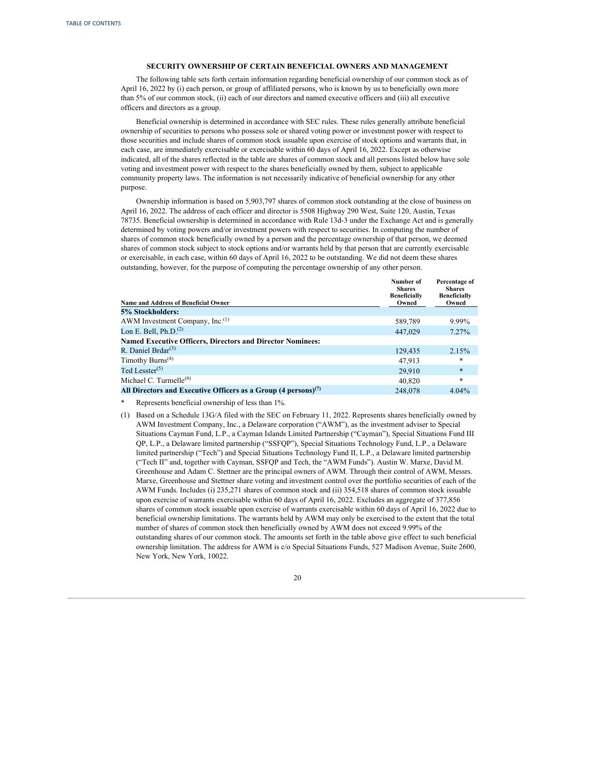#### <span id="page-23-0"></span>**SECURITY OWNERSHIP OF CERTAIN BENEFICIAL OWNERS AND MANAGEMENT**

The following table sets forth certain information regarding beneficial ownership of our common stock as of April 16, 2022 by (i) each person, or group of affiliated persons, who is known by us to beneficially own more than 5% of our common stock, (ii) each of our directors and named executive officers and (iii) all executive officers and directors as a group.

Beneficial ownership is determined in accordance with SEC rules. These rules generally attribute beneficial ownership of securities to persons who possess sole or shared voting power or investment power with respect to those securities and include shares of common stock issuable upon exercise of stock options and warrants that, in each case, are immediately exercisable or exercisable within 60 days of April 16, 2022. Except as otherwise indicated, all of the shares reflected in the table are shares of common stock and all persons listed below have sole voting and investment power with respect to the shares beneficially owned by them, subject to applicable community property laws. The information is not necessarily indicative of beneficial ownership for any other purpose.

Ownership information is based on 5,903,797 shares of common stock outstanding at the close of business on April 16, 2022. The address of each officer and director is 5508 Highway 290 West, Suite 120, Austin, Texas 78735. Beneficial ownership is determined in accordance with Rule 13d-3 under the Exchange Act and is generally determined by voting powers and/or investment powers with respect to securities. In computing the number of shares of common stock beneficially owned by a person and the percentage ownership of that person, we deemed shares of common stock subject to stock options and/or warrants held by that person that are currently exercisable or exercisable, in each case, within 60 days of April 16, 2022 to be outstanding. We did not deem these shares outstanding, however, for the purpose of computing the percentage ownership of any other person.

|                                                                             | Number of<br><b>Shares</b><br><b>Beneficially</b> | Percentage of<br><b>Shares</b><br><b>Beneficially</b> |
|-----------------------------------------------------------------------------|---------------------------------------------------|-------------------------------------------------------|
| Name and Address of Beneficial Owner                                        | Owned                                             | Owned                                                 |
| 5% Stockholders:                                                            |                                                   |                                                       |
| AWM Investment Company, Inc. <sup>(1)</sup>                                 | 589,789                                           | 9.99%                                                 |
| Lon E. Bell, $Ph.D.(2)$                                                     | 447,029                                           | $7.27\%$                                              |
| <b>Named Executive Officers, Directors and Director Nominees:</b>           |                                                   |                                                       |
| R. Daniel Brdar $^{(3)}$                                                    | 129,435                                           | 2.15%                                                 |
| Timothy Burns <sup><math>(4)</math></sup>                                   | 47,913                                            | *                                                     |
| Ted Lesster $(5)$                                                           | 29.910                                            | $\ast$                                                |
| Michael C. Turmelle $^{(6)}$                                                | 40,820                                            | *                                                     |
| All Directors and Executive Officers as a Group $(4 \text{ persons})^{(7)}$ | 248,078                                           | 4.04%                                                 |

\* Represents beneficial ownership of less than 1%.

(1) Based on a Schedule 13G/A filed with the SEC on February 11, 2022. Represents shares beneficially owned by AWM Investment Company, Inc., a Delaware corporation ("AWM"), as the investment adviser to Special Situations Cayman Fund, L.P., a Cayman Islands Limited Partnership ("Cayman"), Special Situations Fund III QP, L.P., a Delaware limited partnership ("SSFQP"), Special Situations Technology Fund, L.P., a Delaware limited partnership ("Tech") and Special Situations Technology Fund II, L.P., a Delaware limited partnership ("Tech II" and, together with Cayman, SSFQP and Tech, the "AWM Funds"). Austin W. Marxe, David M. Greenhouse and Adam C. Stettner are the principal owners of AWM. Through their control of AWM, Messrs. Marxe, Greenhouse and Stettner share voting and investment control over the portfolio securities of each of the AWM Funds. Includes (i) 235,271 shares of common stock and (ii) 354,518 shares of common stock issuable upon exercise of warrants exercisable within 60 days of April 16, 2022. Excludes an aggregate of 377,856 shares of common stock issuable upon exercise of warrants exercisable within 60 days of April 16, 2022 due to beneficial ownership limitations. The warrants held by AWM may only be exercised to the extent that the total number of shares of common stock then beneficially owned by AWM does not exceed 9.99% of the outstanding shares of our common stock. The amounts set forth in the table above give effect to such beneficial ownership limitation. The address for AWM is c/o Special Situations Funds, 527 Madison Avenue, Suite 2600, New York, New York, 10022.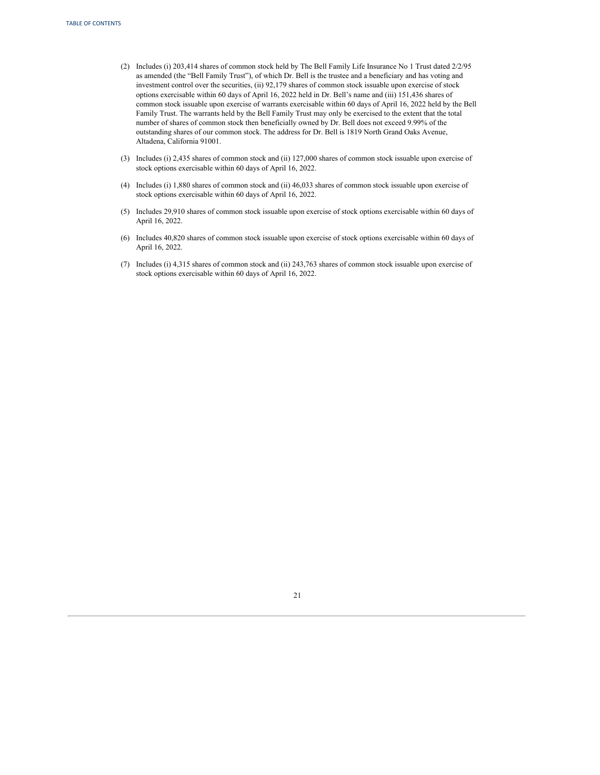- (2) Includes (i) 203,414 shares of common stock held by The Bell Family Life Insurance No 1 Trust dated 2/2/95 as amended (the "Bell Family Trust"), of which Dr. Bell is the trustee and a beneficiary and has voting and investment control over the securities, (ii) 92,179 shares of common stock issuable upon exercise of stock options exercisable within 60 days of April 16, 2022 held in Dr. Bell's name and (iii) 151,436 shares of common stock issuable upon exercise of warrants exercisable within 60 days of April 16, 2022 held by the Bell Family Trust. The warrants held by the Bell Family Trust may only be exercised to the extent that the total number of shares of common stock then beneficially owned by Dr. Bell does not exceed 9.99% of the outstanding shares of our common stock. The address for Dr. Bell is 1819 North Grand Oaks Avenue, Altadena, California 91001.
- (3) Includes (i) 2,435 shares of common stock and (ii) 127,000 shares of common stock issuable upon exercise of stock options exercisable within 60 days of April 16, 2022.
- (4) Includes (i) 1,880 shares of common stock and (ii) 46,033 shares of common stock issuable upon exercise of stock options exercisable within 60 days of April 16, 2022.
- (5) Includes 29,910 shares of common stock issuable upon exercise of stock options exercisable within 60 days of April 16, 2022.
- (6) Includes 40,820 shares of common stock issuable upon exercise of stock options exercisable within 60 days of April 16, 2022.
- (7) Includes (i) 4,315 shares of common stock and (ii) 243,763 shares of common stock issuable upon exercise of stock options exercisable within 60 days of April 16, 2022.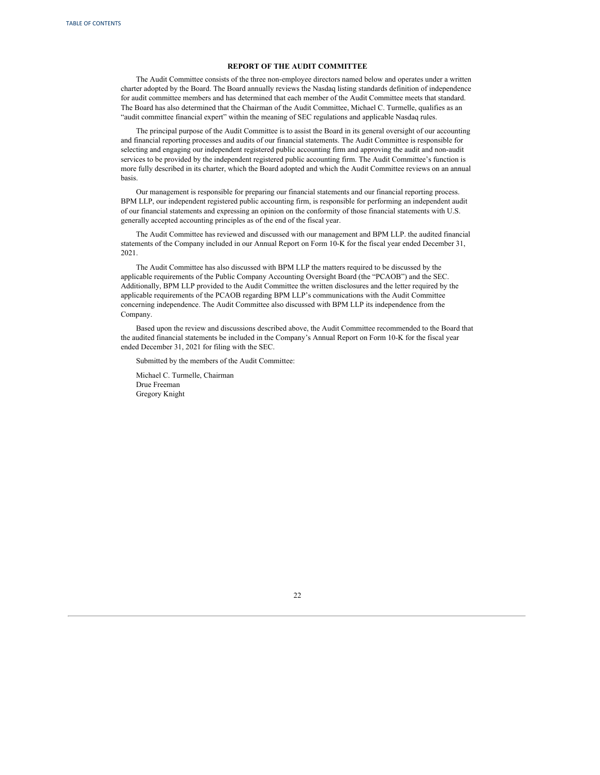#### **REPORT OF THE AUDIT COMMITTEE**

<span id="page-25-0"></span>The Audit Committee consists of the three non-employee directors named below and operates under a written charter adopted by the Board. The Board annually reviews the Nasdaq listing standards definition of independence for audit committee members and has determined that each member of the Audit Committee meets that standard. The Board has also determined that the Chairman of the Audit Committee, Michael C. Turmelle, qualifies as an "audit committee financial expert" within the meaning of SEC regulations and applicable Nasdaq rules.

The principal purpose of the Audit Committee is to assist the Board in its general oversight of our accounting and financial reporting processes and audits of our financial statements. The Audit Committee is responsible for selecting and engaging our independent registered public accounting firm and approving the audit and non-audit services to be provided by the independent registered public accounting firm. The Audit Committee's function is more fully described in its charter, which the Board adopted and which the Audit Committee reviews on an annual basis.

Our management is responsible for preparing our financial statements and our financial reporting process. BPM LLP, our independent registered public accounting firm, is responsible for performing an independent audit of our financial statements and expressing an opinion on the conformity of those financial statements with U.S. generally accepted accounting principles as of the end of the fiscal year.

The Audit Committee has reviewed and discussed with our management and BPM LLP. the audited financial statements of the Company included in our Annual Report on Form 10-K for the fiscal year ended December 31, 2021.

The Audit Committee has also discussed with BPM LLP the matters required to be discussed by the applicable requirements of the Public Company Accounting Oversight Board (the "PCAOB") and the SEC. Additionally, BPM LLP provided to the Audit Committee the written disclosures and the letter required by the applicable requirements of the PCAOB regarding BPM LLP's communications with the Audit Committee concerning independence. The Audit Committee also discussed with BPM LLP its independence from the Company.

Based upon the review and discussions described above, the Audit Committee recommended to the Board that the audited financial statements be included in the Company's Annual Report on Form 10-K for the fiscal year ended December 31, 2021 for filing with the SEC.

Submitted by the members of the Audit Committee:

Michael C. Turmelle, Chairman Drue Freeman Gregory Knight

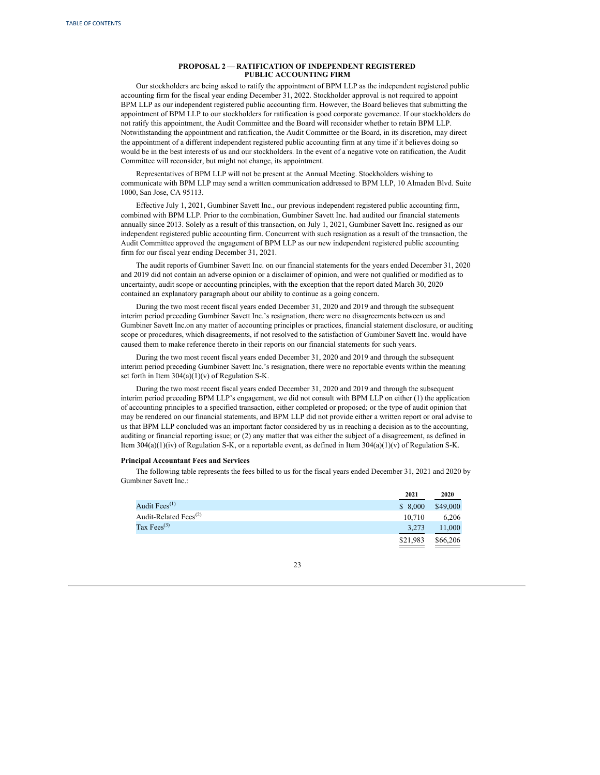# **PROPOSAL 2 — RATIFICATION OF INDEPENDENT REGISTERED PUBLIC ACCOUNTING FIRM**

<span id="page-26-0"></span>Our stockholders are being asked to ratify the appointment of BPM LLP as the independent registered public accounting firm for the fiscal year ending December 31, 2022. Stockholder approval is not required to appoint BPM LLP as our independent registered public accounting firm. However, the Board believes that submitting the appointment of BPM LLP to our stockholders for ratification is good corporate governance. If our stockholders do not ratify this appointment, the Audit Committee and the Board will reconsider whether to retain BPM LLP. Notwithstanding the appointment and ratification, the Audit Committee or the Board, in its discretion, may direct the appointment of a different independent registered public accounting firm at any time if it believes doing so would be in the best interests of us and our stockholders. In the event of a negative vote on ratification, the Audit Committee will reconsider, but might not change, its appointment.

Representatives of BPM LLP will not be present at the Annual Meeting. Stockholders wishing to communicate with BPM LLP may send a written communication addressed to BPM LLP, 10 Almaden Blvd. Suite 1000, San Jose, CA 95113.

Effective July 1, 2021, Gumbiner Savett Inc., our previous independent registered public accounting firm, combined with BPM LLP. Prior to the combination, Gumbiner Savett Inc. had audited our financial statements annually since 2013. Solely as a result of this transaction, on July 1, 2021, Gumbiner Savett Inc. resigned as our independent registered public accounting firm. Concurrent with such resignation as a result of the transaction, the Audit Committee approved the engagement of BPM LLP as our new independent registered public accounting firm for our fiscal year ending December 31, 2021.

The audit reports of Gumbiner Savett Inc. on our financial statements for the years ended December 31, 2020 and 2019 did not contain an adverse opinion or a disclaimer of opinion, and were not qualified or modified as to uncertainty, audit scope or accounting principles, with the exception that the report dated March 30, 2020 contained an explanatory paragraph about our ability to continue as a going concern.

During the two most recent fiscal years ended December 31, 2020 and 2019 and through the subsequent interim period preceding Gumbiner Savett Inc.'s resignation, there were no disagreements between us and Gumbiner Savett Inc.on any matter of accounting principles or practices, financial statement disclosure, or auditing scope or procedures, which disagreements, if not resolved to the satisfaction of Gumbiner Savett Inc. would have caused them to make reference thereto in their reports on our financial statements for such years.

During the two most recent fiscal years ended December 31, 2020 and 2019 and through the subsequent interim period preceding Gumbiner Savett Inc.'s resignation, there were no reportable events within the meaning set forth in Item 304(a)(1)(v) of Regulation S-K.

During the two most recent fiscal years ended December 31, 2020 and 2019 and through the subsequent interim period preceding BPM LLP's engagement, we did not consult with BPM LLP on either (1) the application of accounting principles to a specified transaction, either completed or proposed; or the type of audit opinion that may be rendered on our financial statements, and BPM LLP did not provide either a written report or oral advise to us that BPM LLP concluded was an important factor considered by us in reaching a decision as to the accounting, auditing or financial reporting issue; or (2) any matter that was either the subject of a disagreement, as defined in Item 304(a)(1)(iv) of Regulation S-K, or a reportable event, as defined in Item 304(a)(1)(v) of Regulation S-K.

# **Principal Accountant Fees and Services**

The following table represents the fees billed to us for the fiscal years ended December 31, 2021 and 2020 by Gumbiner Savett Inc.:

|                             | 2021     | 2020     |
|-----------------------------|----------|----------|
| Audit Fees $^{(1)}$         | \$8,000  | \$49,000 |
| Audit-Related Fees $^{(2)}$ | 10.710   | 6.206    |
| Tax Fees $^{(3)}$           | 3,273    | 11,000   |
|                             | \$21,983 | \$66,206 |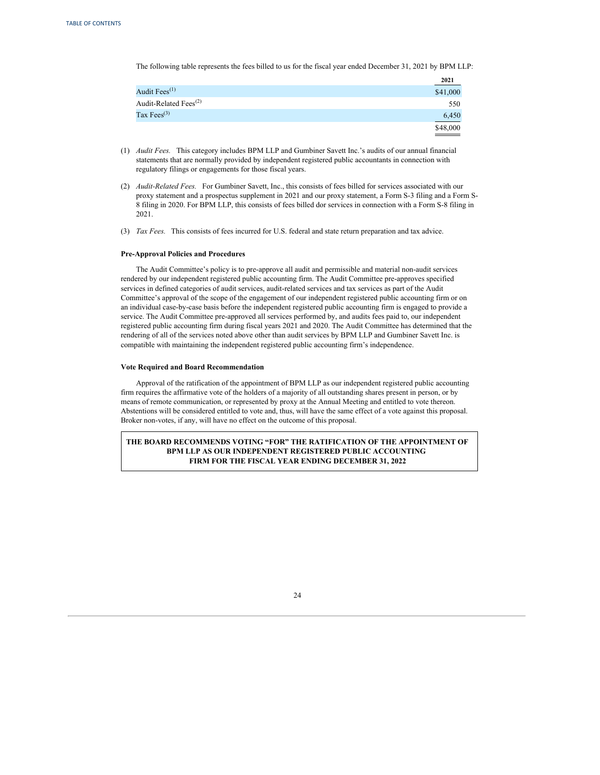The following table represents the fees billed to us for the fiscal year ended December 31, 2021 by BPM LLP:

|                                                | 2021     |
|------------------------------------------------|----------|
| Audit Fees $^{(1)}$                            | \$41,000 |
| Audit-Related Fees <sup><math>(2)</math></sup> | 550      |
| Tax Fees $^{(3)}$                              | 6,450    |
|                                                | \$48,000 |

(1) *Audit Fees.* This category includes BPM LLP and Gumbiner Savett Inc.'s audits of our annual financial statements that are normally provided by independent registered public accountants in connection with regulatory filings or engagements for those fiscal years.

- (2) *Audit-Related Fees.* For Gumbiner Savett, Inc., this consists of fees billed for services associated with our proxy statement and a prospectus supplement in 2021 and our proxy statement, a Form S-3 filing and a Form S-8 filing in 2020. For BPM LLP, this consists of fees billed dor services in connection with a Form S-8 filing in 2021.
- (3) *Tax Fees.* This consists of fees incurred for U.S. federal and state return preparation and tax advice.

# **Pre-Approval Policies and Procedures**

The Audit Committee's policy is to pre-approve all audit and permissible and material non-audit services rendered by our independent registered public accounting firm. The Audit Committee pre-approves specified services in defined categories of audit services, audit-related services and tax services as part of the Audit Committee's approval of the scope of the engagement of our independent registered public accounting firm or on an individual case-by-case basis before the independent registered public accounting firm is engaged to provide a service. The Audit Committee pre-approved all services performed by, and audits fees paid to, our independent registered public accounting firm during fiscal years 2021 and 2020. The Audit Committee has determined that the rendering of all of the services noted above other than audit services by BPM LLP and Gumbiner Savett Inc. is compatible with maintaining the independent registered public accounting firm's independence.

#### **Vote Required and Board Recommendation**

Approval of the ratification of the appointment of BPM LLP as our independent registered public accounting firm requires the affirmative vote of the holders of a majority of all outstanding shares present in person, or by means of remote communication, or represented by proxy at the Annual Meeting and entitled to vote thereon. Abstentions will be considered entitled to vote and, thus, will have the same effect of a vote against this proposal. Broker non-votes, if any, will have no effect on the outcome of this proposal.

**THE BOARD RECOMMENDS VOTING "FOR" THE RATIFICATION OF THE APPOINTMENT OF BPM LLP AS OUR INDEPENDENT REGISTERED PUBLIC ACCOUNTING FIRM FOR THE FISCAL YEAR ENDING DECEMBER 31, 2022**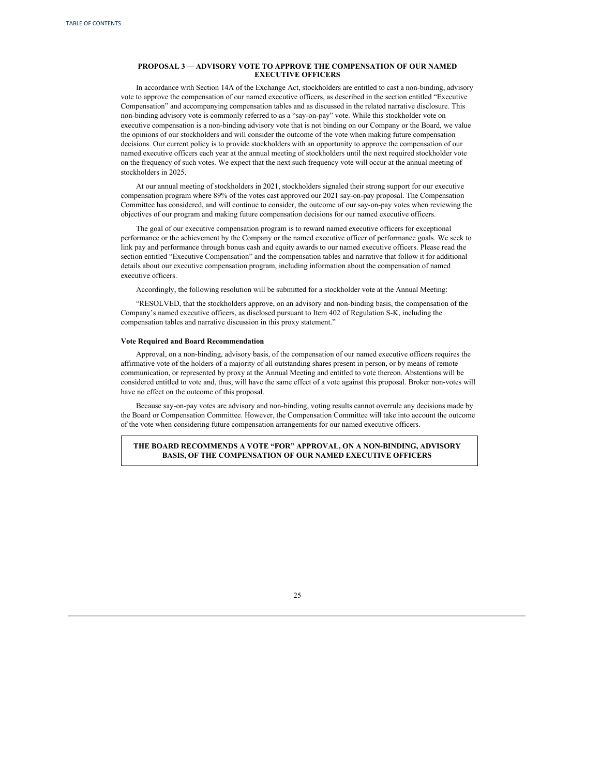# <span id="page-28-0"></span>**PROPOSAL 3 — ADVISORY VOTE TO APPROVE THE COMPENSATION OF OUR NAMED EXECUTIVE OFFICERS**

In accordance with Section 14A of the Exchange Act, stockholders are entitled to cast a non-binding, advisory vote to approve the compensation of our named executive officers, as described in the section entitled "Executive Compensation" and accompanying compensation tables and as discussed in the related narrative disclosure. This non-binding advisory vote is commonly referred to as a "say-on-pay" vote. While this stockholder vote on executive compensation is a non-binding advisory vote that is not binding on our Company or the Board, we value the opinions of our stockholders and will consider the outcome of the vote when making future compensation decisions. Our current policy is to provide stockholders with an opportunity to approve the compensation of our named executive officers each year at the annual meeting of stockholders until the next required stockholder vote on the frequency of such votes. We expect that the next such frequency vote will occur at the annual meeting of stockholders in 2025.

At our annual meeting of stockholders in 2021, stockholders signaled their strong support for our executive compensation program where 89% of the votes cast approved our 2021 say-on-pay proposal. The Compensation Committee has considered, and will continue to consider, the outcome of our say-on-pay votes when reviewing the objectives of our program and making future compensation decisions for our named executive officers.

The goal of our executive compensation program is to reward named executive officers for exceptional performance or the achievement by the Company or the named executive officer of performance goals. We seek to link pay and performance through bonus cash and equity awards to our named executive officers. Please read the section entitled "Executive Compensation" and the compensation tables and narrative that follow it for additional details about our executive compensation program, including information about the compensation of named executive officers.

Accordingly, the following resolution will be submitted for a stockholder vote at the Annual Meeting:

"RESOLVED, that the stockholders approve, on an advisory and non-binding basis, the compensation of the Company's named executive officers, as disclosed pursuant to Item 402 of Regulation S-K, including the compensation tables and narrative discussion in this proxy statement."

#### **Vote Required and Board Recommendation**

Approval, on a non-binding, advisory basis, of the compensation of our named executive officers requires the affirmative vote of the holders of a majority of all outstanding shares present in person, or by means of remote communication, or represented by proxy at the Annual Meeting and entitled to vote thereon. Abstentions will be considered entitled to vote and, thus, will have the same effect of a vote against this proposal. Broker non-votes will have no effect on the outcome of this proposal.

Because say-on-pay votes are advisory and non-binding, voting results cannot overrule any decisions made by the Board or Compensation Committee. However, the Compensation Committee will take into account the outcome of the vote when considering future compensation arrangements for our named executive officers.

**THE BOARD RECOMMENDS A VOTE "FOR" APPROVAL, ON A NON-BINDING, ADVISORY BASIS, OF THE COMPENSATION OF OUR NAMED EXECUTIVE OFFICERS**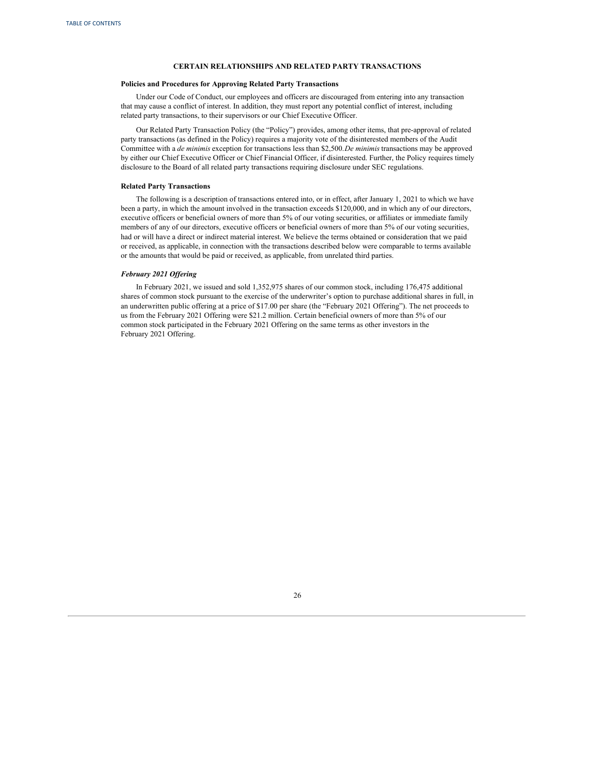# **CERTAIN RELATIONSHIPS AND RELATED PARTY TRANSACTIONS**

#### <span id="page-29-0"></span>**Policies and Procedures for Approving Related Party Transactions**

Under our Code of Conduct, our employees and officers are discouraged from entering into any transaction that may cause a conflict of interest. In addition, they must report any potential conflict of interest, including related party transactions, to their supervisors or our Chief Executive Officer.

Our Related Party Transaction Policy (the "Policy") provides, among other items, that pre-approval of related party transactions (as defined in the Policy) requires a majority vote of the disinterested members of the Audit Committee with a *de minimis* exception for transactions less than \$2,500.*De minimis* transactions may be approved by either our Chief Executive Officer or Chief Financial Officer, if disinterested. Further, the Policy requires timely disclosure to the Board of all related party transactions requiring disclosure under SEC regulations.

#### **Related Party Transactions**

The following is a description of transactions entered into, or in effect, after January 1, 2021 to which we have been a party, in which the amount involved in the transaction exceeds \$120,000, and in which any of our directors, executive officers or beneficial owners of more than 5% of our voting securities, or affiliates or immediate family members of any of our directors, executive officers or beneficial owners of more than 5% of our voting securities, had or will have a direct or indirect material interest. We believe the terms obtained or consideration that we paid or received, as applicable, in connection with the transactions described below were comparable to terms available or the amounts that would be paid or received, as applicable, from unrelated third parties.

# *February 2021 Of ering*

In February 2021, we issued and sold 1,352,975 shares of our common stock, including 176,475 additional shares of common stock pursuant to the exercise of the underwriter's option to purchase additional shares in full, in an underwritten public offering at a price of \$17.00 per share (the "February 2021 Offering"). The net proceeds to us from the February 2021 Offering were \$21.2 million. Certain beneficial owners of more than 5% of our common stock participated in the February 2021 Offering on the same terms as other investors in the February 2021 Offering.

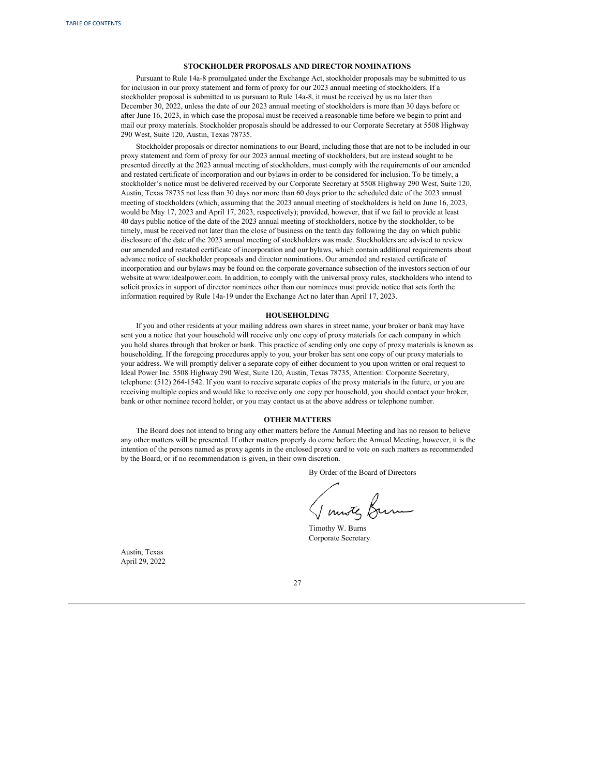#### **STOCKHOLDER PROPOSALS AND DIRECTOR NOMINATIONS**

<span id="page-30-0"></span>Pursuant to Rule 14a-8 promulgated under the Exchange Act, stockholder proposals may be submitted to us for inclusion in our proxy statement and form of proxy for our 2023 annual meeting of stockholders. If a stockholder proposal is submitted to us pursuant to Rule 14a-8, it must be received by us no later than December 30, 2022, unless the date of our 2023 annual meeting of stockholders is more than 30 days before or after June 16, 2023, in which case the proposal must be received a reasonable time before we begin to print and mail our proxy materials. Stockholder proposals should be addressed to our Corporate Secretary at 5508 Highway 290 West, Suite 120, Austin, Texas 78735.

Stockholder proposals or director nominations to our Board, including those that are not to be included in our proxy statement and form of proxy for our 2023 annual meeting of stockholders, but are instead sought to be presented directly at the 2023 annual meeting of stockholders, must comply with the requirements of our amended and restated certificate of incorporation and our bylaws in order to be considered for inclusion. To be timely, a stockholder's notice must be delivered received by our Corporate Secretary at 5508 Highway 290 West, Suite 120, Austin, Texas 78735 not less than 30 days nor more than 60 days prior to the scheduled date of the 2023 annual meeting of stockholders (which, assuming that the 2023 annual meeting of stockholders is held on June 16, 2023, would be May 17, 2023 and April 17, 2023, respectively); provided, however, that if we fail to provide at least 40 days public notice of the date of the 2023 annual meeting of stockholders, notice by the stockholder, to be timely, must be received not later than the close of business on the tenth day following the day on which public disclosure of the date of the 2023 annual meeting of stockholders was made. Stockholders are advised to review our amended and restated certificate of incorporation and our bylaws, which contain additional requirements about advance notice of stockholder proposals and director nominations. Our amended and restated certificate of incorporation and our bylaws may be found on the corporate governance subsection of the investors section of our website at www.idealpower.com. In addition, to comply with the universal proxy rules, stockholders who intend to solicit proxies in support of director nominees other than our nominees must provide notice that sets forth the information required by Rule 14a-19 under the Exchange Act no later than April 17, 2023.

#### **HOUSEHOLDING**

If you and other residents at your mailing address own shares in street name, your broker or bank may have sent you a notice that your household will receive only one copy of proxy materials for each company in which you hold shares through that broker or bank. This practice of sending only one copy of proxy materials is known as householding. If the foregoing procedures apply to you, your broker has sent one copy of our proxy materials to your address. We will promptly deliver a separate copy of either document to you upon written or oral request to Ideal Power Inc. 5508 Highway 290 West, Suite 120, Austin, Texas 78735, Attention: Corporate Secretary, telephone: (512) 264-1542. If you want to receive separate copies of the proxy materials in the future, or you are receiving multiple copies and would like to receive only one copy per household, you should contact your broker, bank or other nominee record holder, or you may contact us at the above address or telephone number.

### **OTHER MATTERS**

The Board does not intend to bring any other matters before the Annual Meeting and has no reason to believe any other matters will be presented. If other matters properly do come before the Annual Meeting, however, it is the intention of the persons named as proxy agents in the enclosed proxy card to vote on such matters as recommended by the Board, or if no recommendation is given, in their own discretion.

By Order of the Board of Directors

Timothy W. Burns Corporate Secretary

Austin, Texas April 29, 2022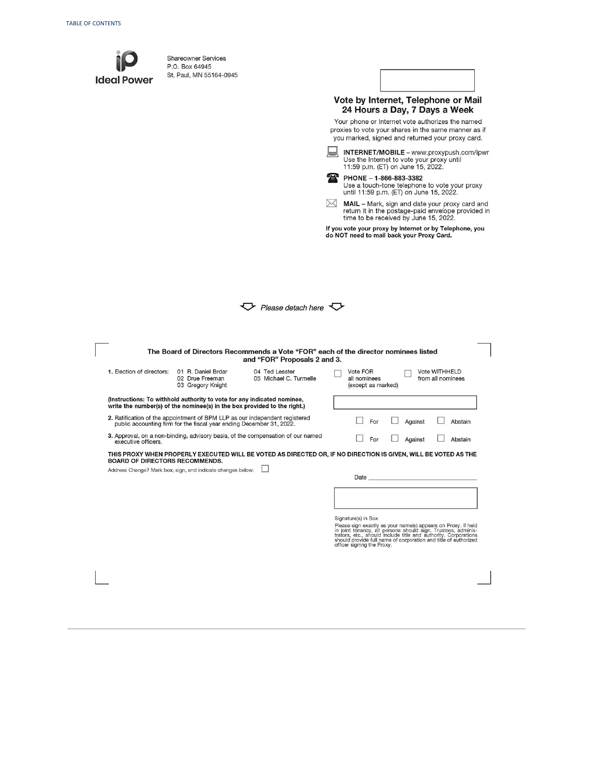| <b>Ideal Power</b>                                                                                                                                   | <b>Shareowner Services</b><br>P.O. Box 64945<br>St. Paul, MN 55164-0945                                                                             |                                                                                                                | ж         | PHONE - 1-866-883-3382                                                               |  | Vote by Internet, Telephone or Mail<br>24 Hours a Day, 7 Days a Week<br>Your phone or Internet vote authorizes the named<br>proxies to vote your shares in the same manner as if<br>you marked, signed and returned your proxy card.<br><b>INTERNET/MOBILE</b> - www.proxypush.com/ipwr<br>Use the Internet to vote your proxy until<br>11:59 p.m. (ET) on June 15, 2022. |  |         |  |
|------------------------------------------------------------------------------------------------------------------------------------------------------|-----------------------------------------------------------------------------------------------------------------------------------------------------|----------------------------------------------------------------------------------------------------------------|-----------|--------------------------------------------------------------------------------------|--|---------------------------------------------------------------------------------------------------------------------------------------------------------------------------------------------------------------------------------------------------------------------------------------------------------------------------------------------------------------------------|--|---------|--|
|                                                                                                                                                      |                                                                                                                                                     |                                                                                                                | $\bowtie$ |                                                                                      |  | Use a touch-tone telephone to vote your proxy<br>until 11:59 p.m. (ET) on June 15, 2022.<br><b>MAIL</b> – Mark, sign and date your proxy card and<br>return it in the postage-paid envelope provided in<br>time to be received by June 15, 2022.<br>If you vote your proxy by Internet or by Telephone, you<br>do NOT need to mail back your Proxy Card.                  |  |         |  |
| Please detach here $\searrow$<br>The Board of Directors Recommends a Vote "FOR" each of the director nominees listed<br>and "FOR" Proposals 2 and 3. |                                                                                                                                                     |                                                                                                                |           |                                                                                      |  |                                                                                                                                                                                                                                                                                                                                                                           |  |         |  |
| 1. Election of directors:                                                                                                                            | 01 R. Daniel Brdar<br>02 Drue Freeman<br>03 Gregory Knight                                                                                          | 04 Ted Lesster<br>05 Michael C. Turmelle                                                                       |           | Vote FOR<br>Vote WITHHELD<br>all nominees<br>from all nominees<br>(except as marked) |  |                                                                                                                                                                                                                                                                                                                                                                           |  |         |  |
| (Instructions: To withhold authority to vote for any indicated nominee,<br>write the number(s) of the nominee(s) in the box provided to the right.)  |                                                                                                                                                     |                                                                                                                |           |                                                                                      |  |                                                                                                                                                                                                                                                                                                                                                                           |  |         |  |
|                                                                                                                                                      | 2. Ratification of the appointment of BPM LLP as our independent registered<br>public accounting firm for the fiscal year ending December 31, 2022. |                                                                                                                |           | For                                                                                  |  | Against                                                                                                                                                                                                                                                                                                                                                                   |  | Abstain |  |
| executive officers.                                                                                                                                  |                                                                                                                                                     | 3. Approval, on a non-binding, advisory basis, of the compensation of our named                                |           | For                                                                                  |  | Against                                                                                                                                                                                                                                                                                                                                                                   |  | Abstain |  |
|                                                                                                                                                      | <b>BOARD OF DIRECTORS RECOMMENDS.</b><br>Address Change? Mark box, sign, and indicate changes below:                                                | THIS PROXY WHEN PROPERLY EXECUTED WILL BE VOTED AS DIRECTED OR, IF NO DIRECTION IS GIVEN, WILL BE VOTED AS THE |           | Date<br>Signature(s) in Box                                                          |  | Please sign exactly as your name(s) appears on Proxy. If held in joint tenancy, all persons should sign. Trustees, administrators, etc., should include title and authority. Corporations<br>should provide full name of corporation and title of authorized                                                                                                              |  |         |  |
|                                                                                                                                                      |                                                                                                                                                     |                                                                                                                |           | officer signing the Proxy.                                                           |  |                                                                                                                                                                                                                                                                                                                                                                           |  |         |  |